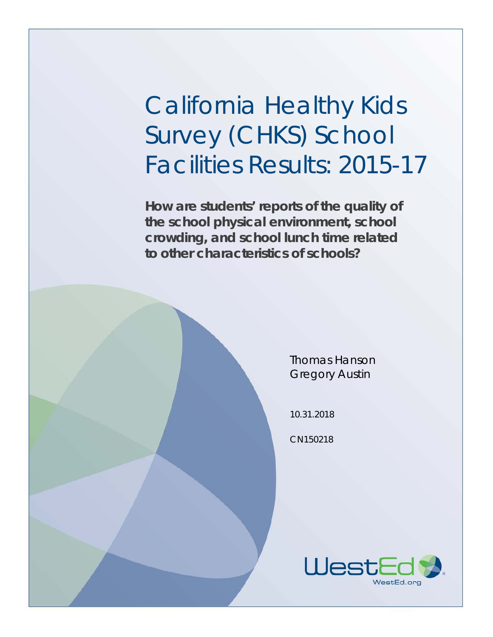# California Healthy Kids Survey (CHKS) School Facilities Results: 2015-17

**How are students' reports of the quality of the school physical environment, school crowding, and school lunch time related to other characteristics of schools?**

> Thomas Hanson Gregory Austin

10.31.2018

CN150218

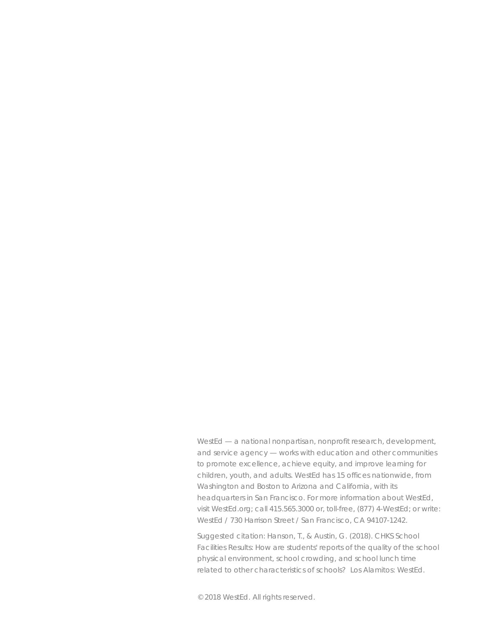WestEd — a national nonpartisan, nonprofit research, development, and service agency — works with education and other communities to promote excellence, achieve equity, and improve learning for children, youth, and adults. WestEd has 15 offices nationwide, from Washington and Boston to Arizona and California, with its headquarters in San Francisco. For more information about WestEd, visit WestEd.org; call 415.565.3000 or, toll-free, (877) 4-WestEd; or write: WestEd / 730 Harrison Street / San Francisco, CA 94107-1242.

Suggested citation: Hanson, T., & Austin, G. (2018). *CHKS School Facilities Results: How are students' reports of the quality of the school physical environment, school crowding, and school lunch time related to other characteristics of schools?* Los Alamitos: WestEd.

© 2018 WestEd. All rights reserved.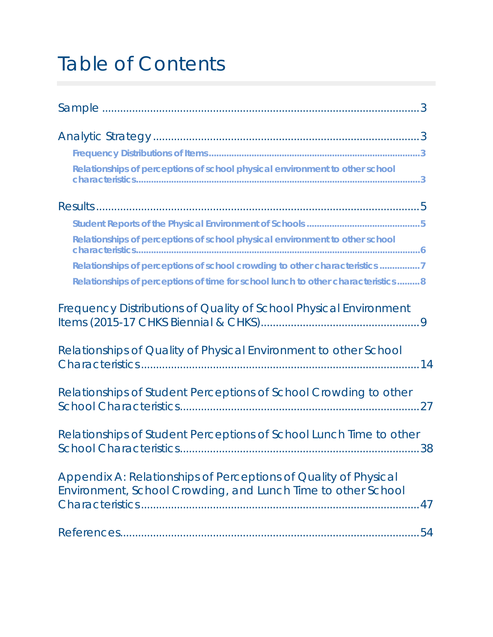# Table of Contents

| Relationships of perceptions of school physical environment to other school                                                           |
|---------------------------------------------------------------------------------------------------------------------------------------|
|                                                                                                                                       |
|                                                                                                                                       |
| Relationships of perceptions of school physical environment to other school                                                           |
| Relationships of perceptions of school crowding to other characteristics 7                                                            |
| Relationships of perceptions of time for school lunch to other characteristics8                                                       |
| Frequency Distributions of Quality of School Physical Environment                                                                     |
| Relationships of Quality of Physical Environment to other School                                                                      |
| Relationships of Student Perceptions of School Crowding to other                                                                      |
| Relationships of Student Perceptions of School Lunch Time to other                                                                    |
| Appendix A: Relationships of Perceptions of Quality of Physical<br>Environment, School Crowding, and Lunch Time to other School<br>47 |
| 54                                                                                                                                    |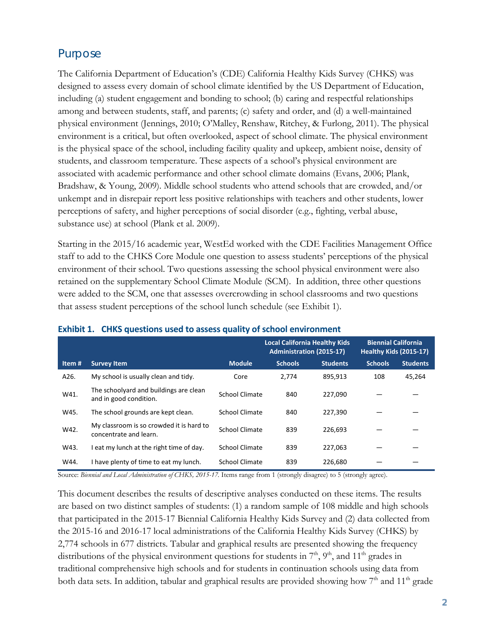## Purpose

The California Department of Education's (CDE) California Healthy Kids Survey (CHKS) was designed to assess every domain of school climate identified by the US Department of Education, including (a) student engagement and bonding to school; (b) caring and respectful relationships among and between students, staff, and parents; (c) safety and order, and (d) a well-maintained physical environment (Jennings, 2010; O'Malley, Renshaw, Ritchey, & Furlong, 2011). The physical environment is a critical, but often overlooked, aspect of school climate. The physical environment is the physical space of the school, including facility quality and upkeep, ambient noise, density of students, and classroom temperature. These aspects of a school's physical environment are associated with academic performance and other school climate domains (Evans, 2006; Plank, Bradshaw, & Young, 2009). Middle school students who attend schools that are crowded, and/or unkempt and in disrepair report less positive relationships with teachers and other students, lower perceptions of safety, and higher perceptions of social disorder (e.g., fighting, verbal abuse, substance use) at school (Plank et al. 2009).

Starting in the 2015/16 academic year, WestEd worked with the CDE Facilities Management Office staff to add to the CHKS Core Module one question to assess students' perceptions of the physical environment of their school. Two questions assessing the school physical environment were also retained on the supplementary School Climate Module (SCM). In addition, three other questions were added to the SCM, one that assesses overcrowding in school classrooms and two questions that assess student perceptions of the school lunch schedule (see Exhibit 1).

|        |                                                                    |                       | <b>Local California Healthy Kids</b><br><b>Administration (2015-17)</b> |                 | <b>Biennial California</b><br><b>Healthy Kids (2015-17)</b> |                 |
|--------|--------------------------------------------------------------------|-----------------------|-------------------------------------------------------------------------|-----------------|-------------------------------------------------------------|-----------------|
| Item # | <b>Survey Item</b>                                                 | <b>Module</b>         | <b>Schools</b>                                                          | <b>Students</b> | <b>Schools</b>                                              | <b>Students</b> |
| A26.   | My school is usually clean and tidy.                               | Core                  | 2.774                                                                   | 895,913         | 108                                                         | 45,264          |
| W41.   | The schoolyard and buildings are clean<br>and in good condition.   | <b>School Climate</b> | 840                                                                     | 227,090         |                                                             |                 |
| W45.   | The school grounds are kept clean.                                 | <b>School Climate</b> | 840                                                                     | 227,390         |                                                             |                 |
| W42.   | My classroom is so crowded it is hard to<br>concentrate and learn. | <b>School Climate</b> | 839                                                                     | 226,693         |                                                             |                 |
| W43.   | I eat my lunch at the right time of day.                           | <b>School Climate</b> | 839                                                                     | 227,063         |                                                             |                 |
| W44.   | I have plenty of time to eat my lunch.                             | School Climate        | 839                                                                     | 226,680         |                                                             |                 |

#### **Exhibit 1. CHKS questions used to assess quality of school environment**

Source: *Biennial and Local Administration of CHKS, 2015-17.* Items range from 1 (strongly disagree) to 5 (strongly agree).

This document describes the results of descriptive analyses conducted on these items. The results are based on two distinct samples of students: (1) a random sample of 108 middle and high schools that participated in the 2015-17 Biennial California Healthy Kids Survey and (2) data collected from the 2015-16 and 2016-17 local administrations of the California Healthy Kids Survey (CHKS) by 2,774 schools in 677 districts. Tabular and graphical results are presented showing the frequency distributions of the physical environment questions for students in  $7<sup>th</sup>$ ,  $9<sup>th</sup>$ , and  $11<sup>th</sup>$  grades in traditional comprehensive high schools and for students in continuation schools using data from both data sets. In addition, tabular and graphical results are provided showing how  $7<sup>th</sup>$  and  $11<sup>th</sup>$  grade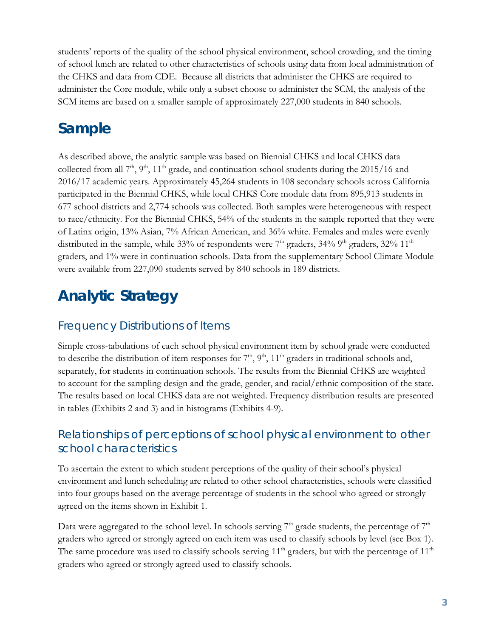students' reports of the quality of the school physical environment, school crowding, and the timing of school lunch are related to other characteristics of schools using data from local administration of the CHKS and data from CDE. Because all districts that administer the CHKS are required to administer the Core module, while only a subset choose to administer the SCM, the analysis of the SCM items are based on a smaller sample of approximately 227,000 students in 840 schools.

## <span id="page-4-0"></span>**Sample**

As described above, the analytic sample was based on Biennial CHKS and local CHKS data collected from all  $7<sup>th</sup>$ ,  $9<sup>th</sup>$ ,  $11<sup>th</sup>$  grade, and continuation school students during the 2015/16 and 2016/17 academic years. Approximately 45,264 students in 108 secondary schools across California participated in the Biennial CHKS, while local CHKS Core module data from 895,913 students in 677 school districts and 2,774 schools was collected. Both samples were heterogeneous with respect to race/ethnicity. For the Biennial CHKS, 54% of the students in the sample reported that they were of Latinx origin, 13% Asian, 7% African American, and 36% white. Females and males were evenly distributed in the sample, while 33% of respondents were  $7<sup>th</sup>$  graders, 34% 9<sup>th</sup> graders, 32% 11<sup>th</sup> graders, and 1% were in continuation schools. Data from the supplementary School Climate Module were available from 227,090 students served by 840 schools in 189 districts.

## <span id="page-4-1"></span>**Analytic Strategy**

## <span id="page-4-2"></span>Frequency Distributions of Items

Simple cross-tabulations of each school physical environment item by school grade were conducted to describe the distribution of item responses for  $7<sup>th</sup>$ ,  $9<sup>th</sup>$ ,  $11<sup>th</sup>$  graders in traditional schools and, separately, for students in continuation schools. The results from the Biennial CHKS are weighted to account for the sampling design and the grade, gender, and racial/ethnic composition of the state. The results based on local CHKS data are not weighted. Frequency distribution results are presented in tables (Exhibits 2 and 3) and in histograms (Exhibits 4-9).

## <span id="page-4-3"></span>Relationships of perceptions of school physical environment to other school characteristics

To ascertain the extent to which student perceptions of the quality of their school's physical environment and lunch scheduling are related to other school characteristics, schools were classified into four groups based on the average percentage of students in the school who agreed or strongly agreed on the items shown in Exhibit 1.

Data were aggregated to the school level. In schools serving  $7<sup>th</sup>$  grade students, the percentage of  $7<sup>th</sup>$ graders who agreed or strongly agreed on each item was used to classify schools by level (see Box 1). The same procedure was used to classify schools serving  $11<sup>th</sup>$  graders, but with the percentage of  $11<sup>th</sup>$ graders who agreed or strongly agreed used to classify schools.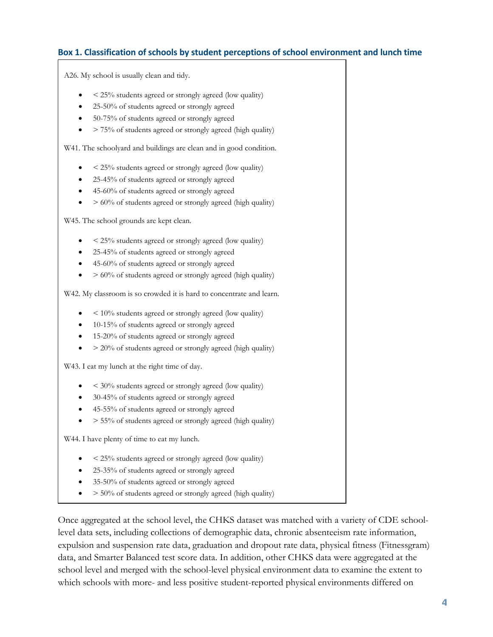#### **Box 1. Classification of schools by student perceptions of school environment and lunch time**

A26. My school is usually clean and tidy.

- < 25% students agreed or strongly agreed (low quality)
- 25-50% of students agreed or strongly agreed
- 50-75% of students agreed or strongly agreed
- > 75% of students agreed or strongly agreed (high quality)

W41. The schoolyard and buildings are clean and in good condition.

- $\leq$  25% students agreed or strongly agreed (low quality)
- 25-45% of students agreed or strongly agreed
- 45-60% of students agreed or strongly agreed
- > 60% of students agreed or strongly agreed (high quality)

W45. The school grounds are kept clean.

- $\bullet$  < 25% students agreed or strongly agreed (low quality)
- 25-45% of students agreed or strongly agreed
- 45-60% of students agreed or strongly agreed
- $\bullet$  > 60% of students agreed or strongly agreed (high quality)

W42. My classroom is so crowded it is hard to concentrate and learn.

- $\bullet$  < 10% students agreed or strongly agreed (low quality)
- 10-15% of students agreed or strongly agreed
- 15-20% of students agreed or strongly agreed
- $>$  20% of students agreed or strongly agreed (high quality)

W43. I eat my lunch at the right time of day.

- $\leq$  30% students agreed or strongly agreed (low quality)
- 30-45% of students agreed or strongly agreed
- 45-55% of students agreed or strongly agreed
- $\bullet$  > 55% of students agreed or strongly agreed (high quality)

W44. I have plenty of time to eat my lunch.

- < 25% students agreed or strongly agreed (low quality)
- 25-35% of students agreed or strongly agreed
- 35-50% of students agreed or strongly agreed
- > 50% of students agreed or strongly agreed (high quality)

Once aggregated at the school level, the CHKS dataset was matched with a variety of CDE schoollevel data sets, including collections of demographic data, chronic absenteeism rate information, expulsion and suspension rate data, graduation and dropout rate data, physical fitness (Fitnessgram) data, and Smarter Balanced test score data. In addition, other CHKS data were aggregated at the school level and merged with the school-level physical environment data to examine the extent to which schools with more- and less positive student-reported physical environments differed on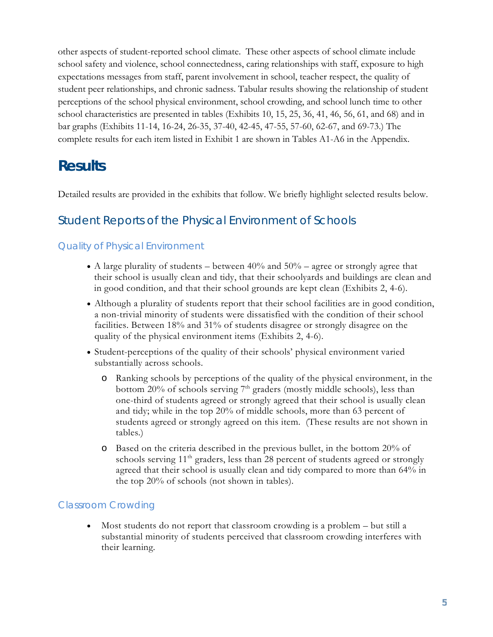other aspects of student-reported school climate. These other aspects of school climate include school safety and violence, school connectedness, caring relationships with staff, exposure to high expectations messages from staff, parent involvement in school, teacher respect, the quality of student peer relationships, and chronic sadness. Tabular results showing the relationship of student perceptions of the school physical environment, school crowding, and school lunch time to other school characteristics are presented in tables (Exhibits 10, 15, 25, 36, 41, 46, 56, 61, and 68) and in bar graphs (Exhibits 11-14, 16-24, 26-35, 37-40, 42-45, 47-55, 57-60, 62-67, and 69-73.) The complete results for each item listed in Exhibit 1 are shown in Tables A1-A6 in the Appendix.

## <span id="page-6-0"></span>**Results**

Detailed results are provided in the exhibits that follow. We briefly highlight selected results below.

## <span id="page-6-1"></span>Student Reports of the Physical Environment of Schools

## Quality of Physical Environment

- A large plurality of students between  $40\%$  and  $50\%$  agree or strongly agree that their school is usually clean and tidy, that their schoolyards and buildings are clean and in good condition, and that their school grounds are kept clean (Exhibits 2, 4-6).
- Although a plurality of students report that their school facilities are in good condition, a non-trivial minority of students were dissatisfied with the condition of their school facilities. Between 18% and 31% of students disagree or strongly disagree on the quality of the physical environment items (Exhibits 2, 4-6).
- Student-perceptions of the quality of their schools' physical environment varied substantially across schools.
	- o Ranking schools by perceptions of the quality of the physical environment, in the bottom 20% of schools serving  $7<sup>th</sup>$  graders (mostly middle schools), less than one-third of students agreed or strongly agreed that their school is usually clean and tidy; while in the top 20% of middle schools, more than 63 percent of students agreed or strongly agreed on this item. (These results are not shown in tables.)
	- o Based on the criteria described in the previous bullet, in the bottom 20% of schools serving  $11<sup>th</sup>$  graders, less than 28 percent of students agreed or strongly agreed that their school is usually clean and tidy compared to more than 64% in the top 20% of schools (not shown in tables).

### Classroom Crowding

• Most students do not report that classroom crowding is a problem – but still a substantial minority of students perceived that classroom crowding interferes with their learning.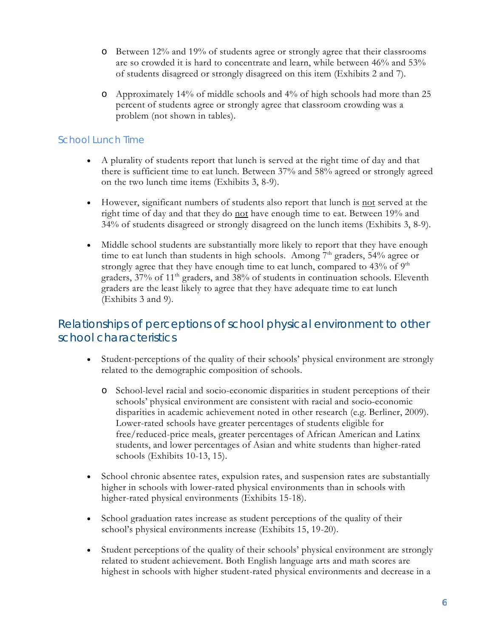- o Between 12% and 19% of students agree or strongly agree that their classrooms are so crowded it is hard to concentrate and learn, while between 46% and 53% of students disagreed or strongly disagreed on this item (Exhibits 2 and 7).
- o Approximately 14% of middle schools and 4% of high schools had more than 25 percent of students agree or strongly agree that classroom crowding was a problem (not shown in tables).

### School Lunch Time

- A plurality of students report that lunch is served at the right time of day and that there is sufficient time to eat lunch. Between 37% and 58% agreed or strongly agreed on the two lunch time items (Exhibits 3, 8-9).
- However, significant numbers of students also report that lunch is not served at the right time of day and that they do not have enough time to eat. Between 19% and 34% of students disagreed or strongly disagreed on the lunch items (Exhibits 3, 8-9).
- Middle school students are substantially more likely to report that they have enough time to eat lunch than students in high schools. Among  $7<sup>th</sup>$  graders, 54% agree or strongly agree that they have enough time to eat lunch, compared to  $43\%$  of  $9<sup>th</sup>$ graders, 37% of 11<sup>th</sup> graders, and 38% of students in continuation schools. Eleventh graders are the least likely to agree that they have adequate time to eat lunch (Exhibits 3 and 9).

## <span id="page-7-0"></span>Relationships of perceptions of school physical environment to other school characteristics

- Student-perceptions of the quality of their schools' physical environment are strongly related to the demographic composition of schools.
	- o School-level racial and socio-economic disparities in student perceptions of their schools' physical environment are consistent with racial and socio-economic disparities in academic achievement noted in other research (e.g. Berliner, 2009). Lower-rated schools have greater percentages of students eligible for free/reduced-price meals, greater percentages of African American and Latinx students, and lower percentages of Asian and white students than higher-rated schools (Exhibits 10-13, 15).
- School chronic absentee rates, expulsion rates, and suspension rates are substantially higher in schools with lower-rated physical environments than in schools with higher-rated physical environments (Exhibits 15-18).
- School graduation rates increase as student perceptions of the quality of their school's physical environments increase (Exhibits 15, 19-20).
- Student perceptions of the quality of their schools' physical environment are strongly related to student achievement. Both English language arts and math scores are highest in schools with higher student-rated physical environments and decrease in a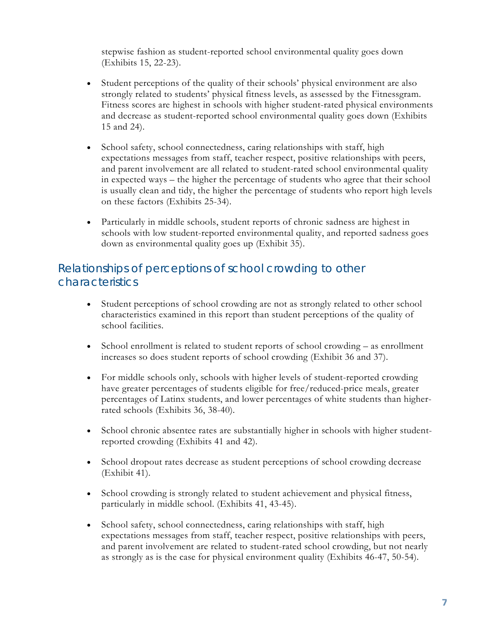stepwise fashion as student-reported school environmental quality goes down (Exhibits 15, 22-23).

- Student perceptions of the quality of their schools' physical environment are also strongly related to students' physical fitness levels, as assessed by the Fitnessgram. Fitness scores are highest in schools with higher student-rated physical environments and decrease as student-reported school environmental quality goes down (Exhibits 15 and 24).
- School safety, school connectedness, caring relationships with staff, high expectations messages from staff, teacher respect, positive relationships with peers, and parent involvement are all related to student-rated school environmental quality in expected ways – the higher the percentage of students who agree that their school is usually clean and tidy, the higher the percentage of students who report high levels on these factors (Exhibits 25-34).
- Particularly in middle schools, student reports of chronic sadness are highest in schools with low student-reported environmental quality, and reported sadness goes down as environmental quality goes up (Exhibit 35).

## <span id="page-8-0"></span>Relationships of perceptions of school crowding to other characteristics

- Student perceptions of school crowding are not as strongly related to other school characteristics examined in this report than student perceptions of the quality of school facilities.
- School enrollment is related to student reports of school crowding as enrollment increases so does student reports of school crowding (Exhibit 36 and 37).
- For middle schools only, schools with higher levels of student-reported crowding have greater percentages of students eligible for free/reduced-price meals, greater percentages of Latinx students, and lower percentages of white students than higherrated schools (Exhibits 36, 38-40).
- School chronic absentee rates are substantially higher in schools with higher studentreported crowding (Exhibits 41 and 42).
- School dropout rates decrease as student perceptions of school crowding decrease (Exhibit 41).
- School crowding is strongly related to student achievement and physical fitness, particularly in middle school. (Exhibits 41, 43-45).
- School safety, school connectedness, caring relationships with staff, high expectations messages from staff, teacher respect, positive relationships with peers, and parent involvement are related to student-rated school crowding, but not nearly as strongly as is the case for physical environment quality (Exhibits 46-47, 50-54).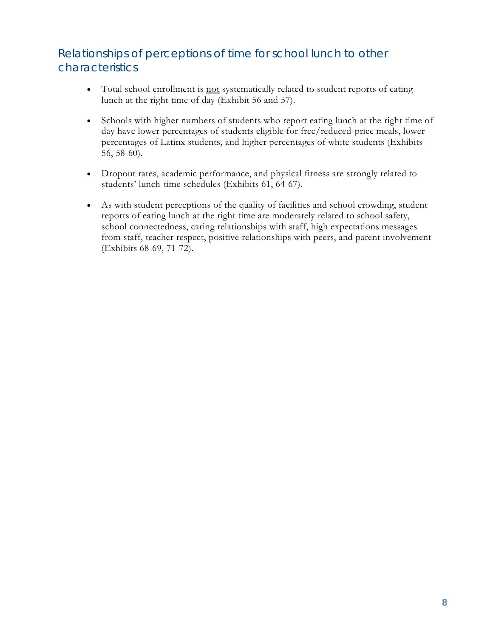## <span id="page-9-0"></span>Relationships of perceptions of time for school lunch to other characteristics

- Total school enrollment is <u>not</u> systematically related to student reports of eating lunch at the right time of day (Exhibit 56 and 57).
- Schools with higher numbers of students who report eating lunch at the right time of day have lower percentages of students eligible for free/reduced-price meals, lower percentages of Latinx students, and higher percentages of white students (Exhibits 56, 58-60).
- Dropout rates, academic performance, and physical fitness are strongly related to students' lunch-time schedules (Exhibits 61, 64-67).
- As with student perceptions of the quality of facilities and school crowding, student reports of eating lunch at the right time are moderately related to school safety, school connectedness, caring relationships with staff, high expectations messages from staff, teacher respect, positive relationships with peers, and parent involvement (Exhibits 68-69, 71-72).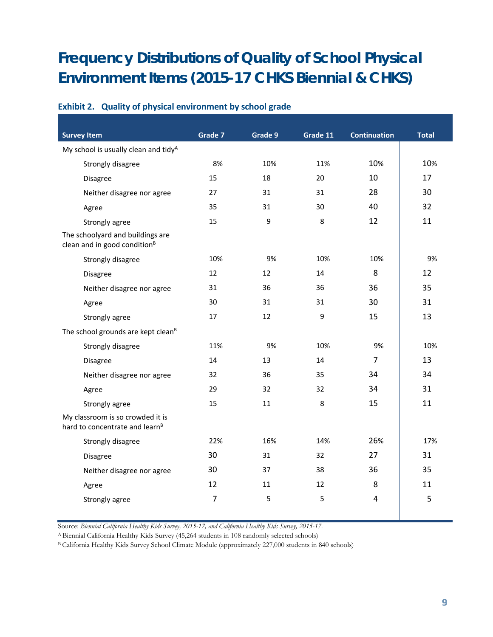## <span id="page-10-0"></span>**Frequency Distributions of Quality of School Physical Environment Items (2015-17 CHKS Biennial & CHKS)**

| <b>Survey Item</b>                                                             | Grade 7        | Grade 9 | Grade 11 | <b>Continuation</b> | <b>Total</b> |
|--------------------------------------------------------------------------------|----------------|---------|----------|---------------------|--------------|
| My school is usually clean and tidy <sup>A</sup>                               |                |         |          |                     |              |
| Strongly disagree                                                              | 8%             | 10%     | 11%      | 10%                 | 10%          |
| Disagree                                                                       | 15             | 18      | 20       | 10                  | 17           |
| Neither disagree nor agree                                                     | 27             | 31      | 31       | 28                  | 30           |
| Agree                                                                          | 35             | 31      | 30       | 40                  | 32           |
| Strongly agree                                                                 | 15             | 9       | 8        | 12                  | 11           |
| The schoolyard and buildings are<br>clean and in good condition <sup>B</sup>   |                |         |          |                     |              |
| Strongly disagree                                                              | 10%            | 9%      | 10%      | 10%                 | 9%           |
| Disagree                                                                       | 12             | 12      | 14       | 8                   | 12           |
| Neither disagree nor agree                                                     | 31             | 36      | 36       | 36                  | 35           |
| Agree                                                                          | 30             | 31      | 31       | 30                  | 31           |
| Strongly agree                                                                 | 17             | 12      | 9        | 15                  | 13           |
| The school grounds are kept clean <sup>B</sup>                                 |                |         |          |                     |              |
| Strongly disagree                                                              | 11%            | 9%      | 10%      | 9%                  | 10%          |
| Disagree                                                                       | 14             | 13      | 14       | $\overline{7}$      | 13           |
| Neither disagree nor agree                                                     | 32             | 36      | 35       | 34                  | 34           |
| Agree                                                                          | 29             | 32      | 32       | 34                  | 31           |
| Strongly agree                                                                 | 15             | 11      | 8        | 15                  | 11           |
| My classroom is so crowded it is<br>hard to concentrate and learn <sup>B</sup> |                |         |          |                     |              |
| Strongly disagree                                                              | 22%            | 16%     | 14%      | 26%                 | 17%          |
| <b>Disagree</b>                                                                | 30             | 31      | 32       | 27                  | 31           |
| Neither disagree nor agree                                                     | 30             | 37      | 38       | 36                  | 35           |
| Agree                                                                          | 12             | 11      | 12       | 8                   | 11           |
| Strongly agree                                                                 | $\overline{7}$ | 5       | 5        | 4                   | 5            |

#### **Exhibit 2. Quality of physical environment by school grade**

Source: *Biennial California Healthy Kids Survey, 2015-17, and California Healthy Kids Survey, 2015-17*.

<sup>A</sup> Biennial California Healthy Kids Survey (45,264 students in 108 randomly selected schools)

B California Healthy Kids Survey School Climate Module (approximately 227,000 students in 840 schools)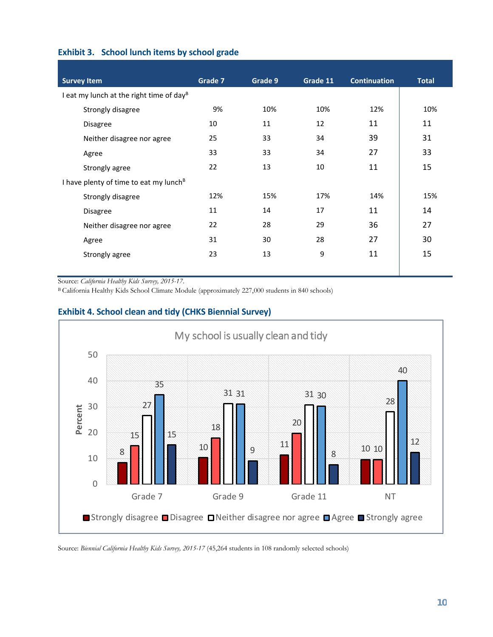| Exhibit 3. School lunch items by school grade |  |  |  |  |  |  |
|-----------------------------------------------|--|--|--|--|--|--|
|-----------------------------------------------|--|--|--|--|--|--|

| <b>Survey Item</b>                                   | Grade 7 | Grade 9 | Grade 11 | <b>Continuation</b> | <b>Total</b> |
|------------------------------------------------------|---------|---------|----------|---------------------|--------------|
| I eat my lunch at the right time of day <sup>B</sup> |         |         |          |                     |              |
| Strongly disagree                                    | 9%      | 10%     | 10%      | 12%                 | 10%          |
| <b>Disagree</b>                                      | 10      | 11      | 12       | 11                  | 11           |
| Neither disagree nor agree                           | 25      | 33      | 34       | 39                  | 31           |
| Agree                                                | 33      | 33      | 34       | 27                  | 33           |
| Strongly agree                                       | 22      | 13      | 10       | 11                  | 15           |
| I have plenty of time to eat my lunch <sup>B</sup>   |         |         |          |                     |              |
| Strongly disagree                                    | 12%     | 15%     | 17%      | 14%                 | 15%          |
| <b>Disagree</b>                                      | 11      | 14      | 17       | 11                  | 14           |
| Neither disagree nor agree                           | 22      | 28      | 29       | 36                  | 27           |
| Agree                                                | 31      | 30      | 28       | 27                  | 30           |
| Strongly agree                                       | 23      | 13      | 9        | 11                  | 15           |
|                                                      |         |         |          |                     |              |

Source: *California Healthy Kids Survey, 2015-17*.

B California Healthy Kids School Climate Module (approximately 227,000 students in 840 schools)



#### **Exhibit 4. School clean and tidy (CHKS Biennial Survey)**

Source: *Biennial California Healthy Kids Survey, 2015-17* (45,264 students in 108 randomly selected schools)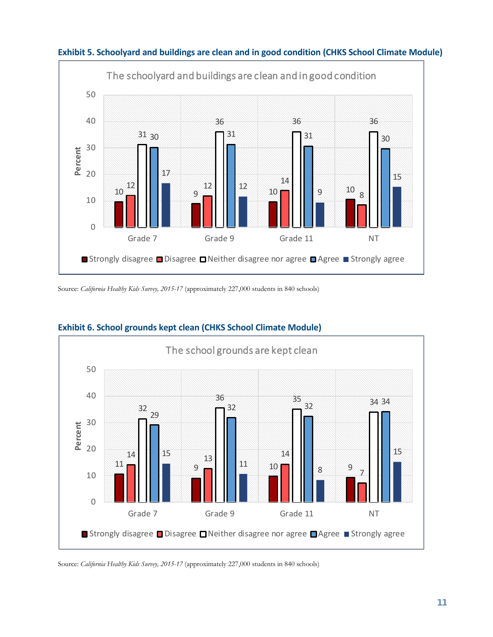

#### **Exhibit 5. Schoolyard and buildings are clean and in good condition (CHKS School Climate Module)**

Source: *California Healthy Kids Survey, 2015-17* (approximately 227,000 students in 840 schools)



#### **Exhibit 6. School grounds kept clean (CHKS School Climate Module)**

Source: *California Healthy Kids Survey, 2015-17* (approximately 227,000 students in 840 schools)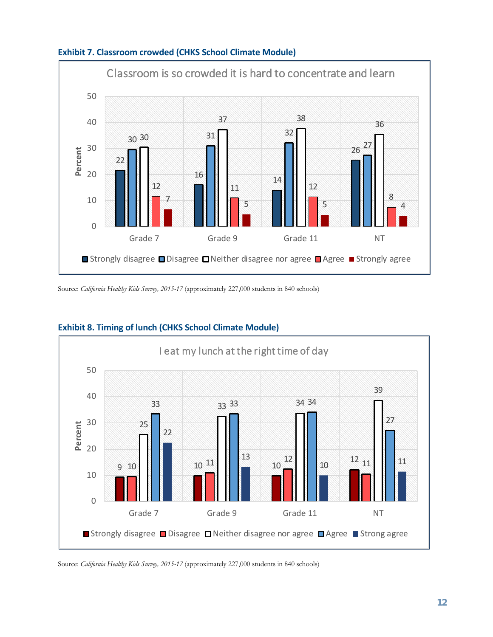



Source: *California Healthy Kids Survey, 2015-17* (approximately 227,000 students in 840 schools)



#### **Exhibit 8. Timing of lunch (CHKS School Climate Module)**

Source: *California Healthy Kids Survey, 2015-17* (approximately 227,000 students in 840 schools)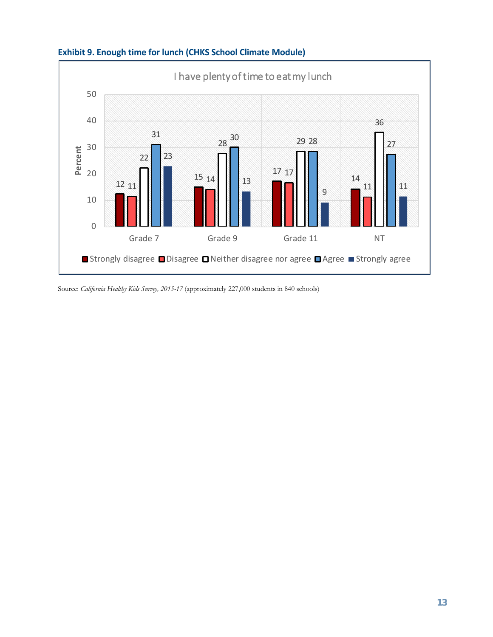

## **Exhibit 9. Enough time for lunch (CHKS School Climate Module)**

Source: *California Healthy Kids Survey, 2015-17* (approximately 227,000 students in 840 schools)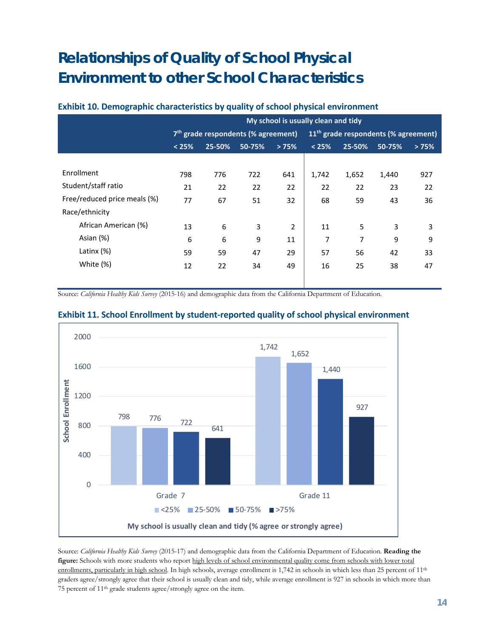## <span id="page-15-0"></span>**Relationships of Quality of School Physical Environment to other School Characteristics**

## **My school is usually clean and tidy 7th grade respondents (% agreement) 11th grade respondents (% agreement) < 25% 25-50% 50-75% > 75% < 25% 25-50% 50-75% > 75%** Enrollment 798 776 722 641 1,742 1,652 1,440 927 Student/staff ratio 21 22 22 22 22 22 23 22 Free/reduced price meals (%)  $\begin{array}{cccc} 77 & 67 & 51 & 32 & 68 & 59 & 43 & 36 \end{array}$ Race/ethnicity African American (%) 13 6 3 2 11 5 3 3 Asian (%) 6 6 9 11 7 7 9 9 Latinx (%) 59 59 47 29 <mark>|</mark> 57 56 42 33 White (%) 12 22 34 49 16 25 38 47

#### **Exhibit 10. Demographic characteristics by quality of school physical environment**

Source: *California Healthy Kids Survey* (2015-16) and demographic data from the California Department of Education.



#### **Exhibit 11. School Enrollment by student-reported quality of school physical environment**

Source: *California Healthy Kids Survey* (2015-17) and demographic data from the California Department of Education. **Reading the figure:** Schools with more students who report high levels of school environmental quality come from schools with lower total enrollments, particularly in high school. In high schools, average enrollment is 1,742 in schools in which less than 25 percent of 11<sup>th</sup> graders agree/strongly agree that their school is usually clean and tidy, while average enrollment is 927 in schools in which more than 75 percent of 11th grade students agree/strongly agree on the item.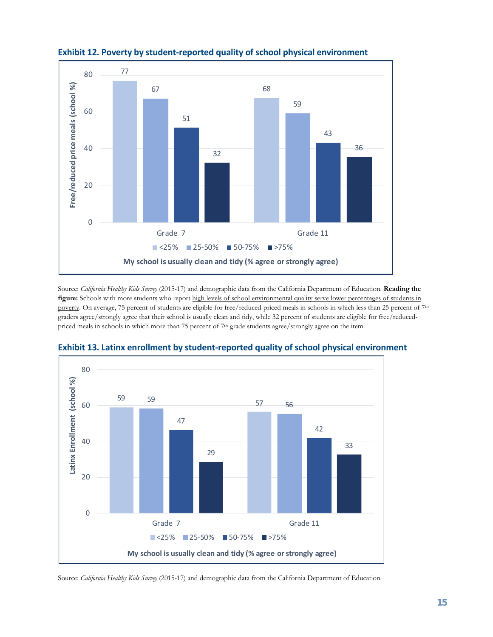

#### **Exhibit 12. Poverty by student-reported quality of school physical environment**

Source: *California Healthy Kids Survey* (2015-17) and demographic data from the California Department of Education. **Reading the figure:** Schools with more students who report high levels of school environmental quality serve lower percentages of students in poverty. On average, 75 percent of students are eligible for free/reduced-priced meals in schools in which less than 25 percent of 7<sup>th</sup> graders agree/strongly agree that their school is usually clean and tidy, while 32 percent of students are eligible for free/reducedpriced meals in schools in which more than 75 percent of 7th grade students agree/strongly agree on the item.



#### **Exhibit 13. Latinx enrollment by student-reported quality of school physical environment**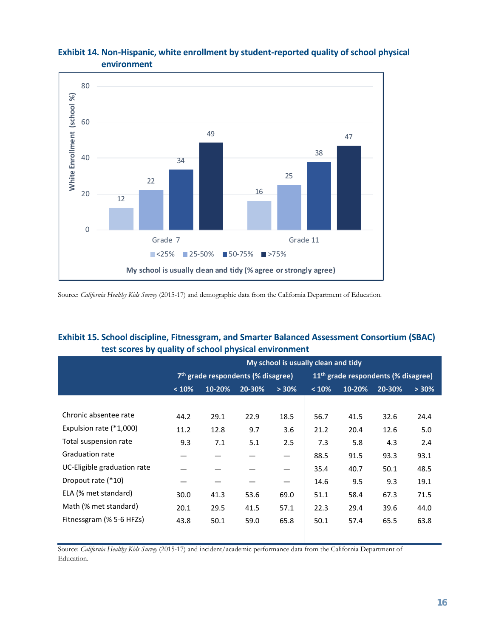

#### **Exhibit 14. Non-Hispanic, white enrollment by student-reported quality of school physical environment**

Source: *California Healthy Kids Survey* (2015-17) and demographic data from the California Department of Education.

#### **Exhibit 15. School discipline, Fitnessgram, and Smarter Balanced Assessment Consortium (SBAC) test scores by quality of school physical environment**

|                             |       | My school is usually clean and tidy |                                                |       |                                                 |        |        |          |
|-----------------------------|-------|-------------------------------------|------------------------------------------------|-------|-------------------------------------------------|--------|--------|----------|
|                             |       |                                     | 7 <sup>th</sup> grade respondents (% disagree) |       | 11 <sup>th</sup> grade respondents (% disagree) |        |        |          |
|                             | < 10% | 10-20%                              | 20-30%                                         | > 30% | < 10%                                           | 10-20% | 20-30% | $> 30\%$ |
|                             |       |                                     |                                                |       |                                                 |        |        |          |
| Chronic absentee rate       | 44.2  | 29.1                                | 22.9                                           | 18.5  | 56.7                                            | 41.5   | 32.6   | 24.4     |
| Expulsion rate (*1,000)     | 11.2  | 12.8                                | 9.7                                            | 3.6   | 21.2                                            | 20.4   | 12.6   | 5.0      |
| Total suspension rate       | 9.3   | 7.1                                 | 5.1                                            | 2.5   | 7.3                                             | 5.8    | 4.3    | 2.4      |
| <b>Graduation rate</b>      |       |                                     |                                                |       | 88.5                                            | 91.5   | 93.3   | 93.1     |
| UC-Eligible graduation rate |       |                                     |                                                |       | 35.4                                            | 40.7   | 50.1   | 48.5     |
| Dropout rate (*10)          |       |                                     |                                                |       | 14.6                                            | 9.5    | 9.3    | 19.1     |
| ELA (% met standard)        | 30.0  | 41.3                                | 53.6                                           | 69.0  | 51.1                                            | 58.4   | 67.3   | 71.5     |
| Math (% met standard)       | 20.1  | 29.5                                | 41.5                                           | 57.1  | 22.3                                            | 29.4   | 39.6   | 44.0     |
| Fitnessgram (% 5-6 HFZs)    | 43.8  | 50.1                                | 59.0                                           | 65.8  | 50.1                                            | 57.4   | 65.5   | 63.8     |
|                             |       |                                     |                                                |       |                                                 |        |        |          |

Source: *California Healthy Kids Survey* (2015-17) and incident/academic performance data from the California Department of Education.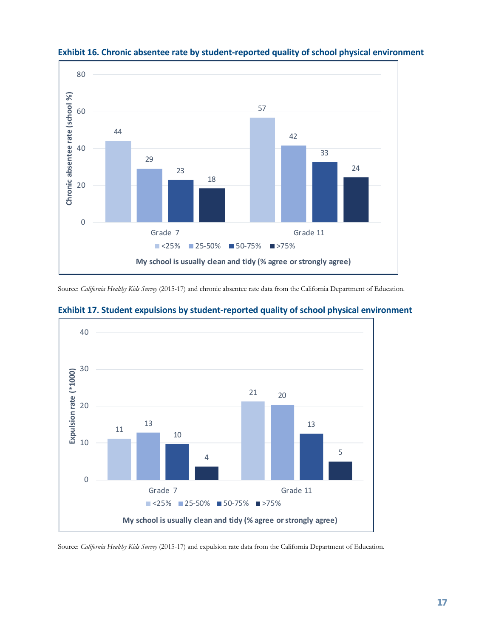



Source: *California Healthy Kids Survey* (2015-17) and chronic absentee rate data from the California Department of Education.



#### **Exhibit 17. Student expulsions by student-reported quality of school physical environment**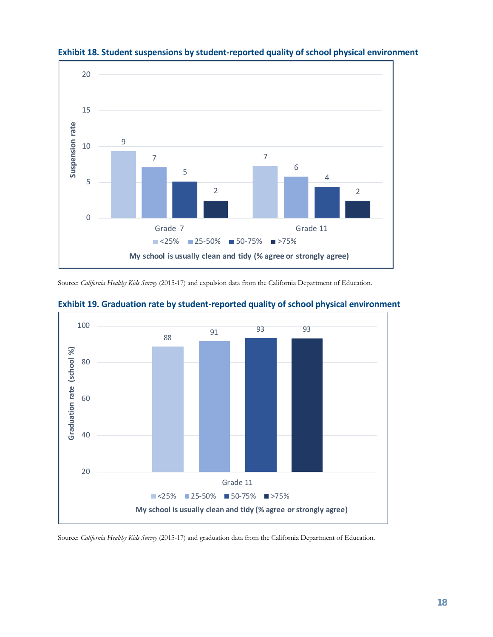

**Exhibit 18. Student suspensions by student-reported quality of school physical environment**

Source: *California Healthy Kids Survey* (2015-17) and expulsion data from the California Department of Education.



**Exhibit 19. Graduation rate by student-reported quality of school physical environment**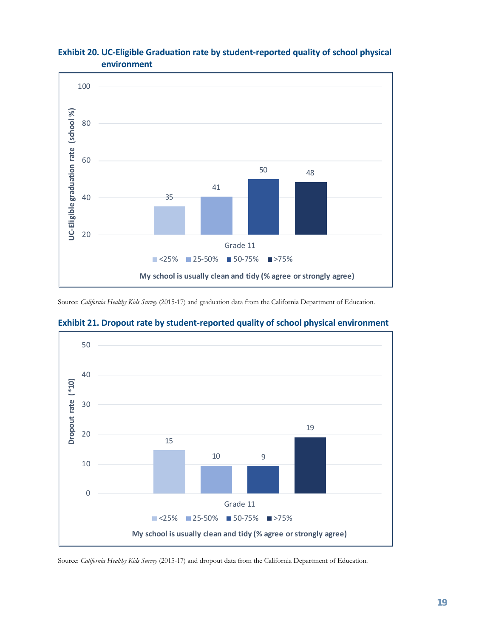

#### **Exhibit 20. UC-Eligible Graduation rate by student-reported quality of school physical environment**

Source: *California Healthy Kids Survey* (2015-17) and graduation data from the California Department of Education.



#### **Exhibit 21. Dropout rate by student-reported quality of school physical environment**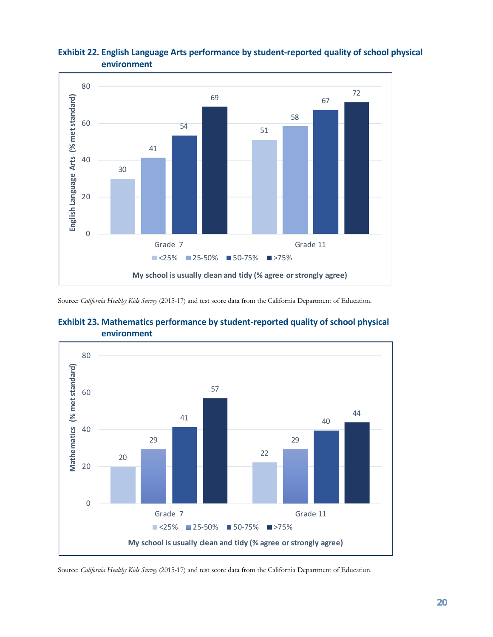

#### **Exhibit 22. English Language Arts performance by student-reported quality of school physical environment**

Source: *California Healthy Kids Survey* (2015-17) and test score data from the California Department of Education.



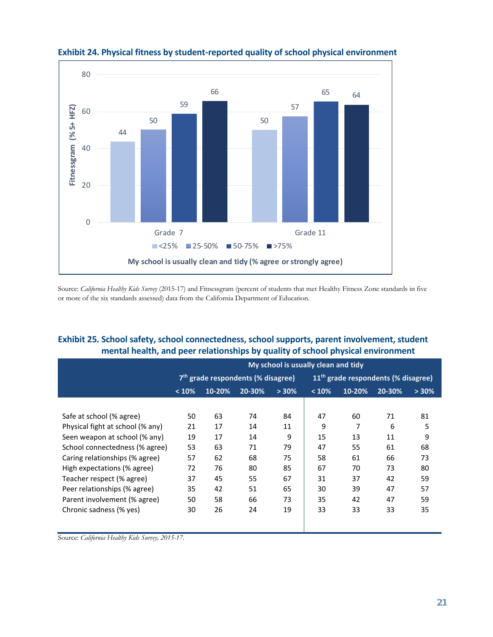

### **Exhibit 24. Physical fitness by student-reported quality of school physical environment**

Source: *California Healthy Kids Survey* (2015-17) and Fitnessgram (percent of students that met Healthy Fitness Zone standards in five or more of the six standards assessed) data from the California Department of Education.

#### **Exhibit 25. School safety, school connectedness, school supports, parent involvement, student mental health, and peer relationships by quality of school physical environment**

|                                  | My school is usually clean and tidy |                                                |        |       |       |                                                 |        |          |  |
|----------------------------------|-------------------------------------|------------------------------------------------|--------|-------|-------|-------------------------------------------------|--------|----------|--|
|                                  |                                     | 7 <sup>th</sup> grade respondents (% disagree) |        |       |       | 11 <sup>th</sup> grade respondents (% disagree) |        |          |  |
|                                  | < 10%                               | 10-20%                                         | 20-30% | > 30% | < 10% | 10-20%                                          | 20-30% | $> 30\%$ |  |
|                                  |                                     |                                                |        |       |       |                                                 |        |          |  |
| Safe at school (% agree)         | 50                                  | 63                                             | 74     | 84    | 47    | 60                                              | 71     | 81       |  |
| Physical fight at school (% any) | 21                                  | 17                                             | 14     | 11    | 9     | $\overline{7}$                                  | 6      | 5        |  |
| Seen weapon at school (% any)    | 19                                  | 17                                             | 14     | 9     | 15    | 13                                              | 11     | 9        |  |
| School connectedness (% agree)   | 53                                  | 63                                             | 71     | 79    | 47    | 55                                              | 61     | 68       |  |
| Caring relationships (% agree)   | 57                                  | 62                                             | 68     | 75    | 58    | 61                                              | 66     | 73       |  |
| High expectations (% agree)      | 72                                  | 76                                             | 80     | 85    | 67    | 70                                              | 73     | 80       |  |
| Teacher respect (% agree)        | 37                                  | 45                                             | 55     | 67    | 31    | 37                                              | 42     | 59       |  |
| Peer relationships (% agree)     | 35                                  | 42                                             | 51     | 65    | 30    | 39                                              | 47     | 57       |  |
| Parent involvement (% agree)     | 50                                  | 58                                             | 66     | 73    | 35    | 42                                              | 47     | 59       |  |
| Chronic sadness (% yes)          | 30                                  | 26                                             | 24     | 19    | 33    | 33                                              | 33     | 35       |  |
|                                  |                                     |                                                |        |       |       |                                                 |        |          |  |

Source: *California Healthy Kids Survey, 2015-17*.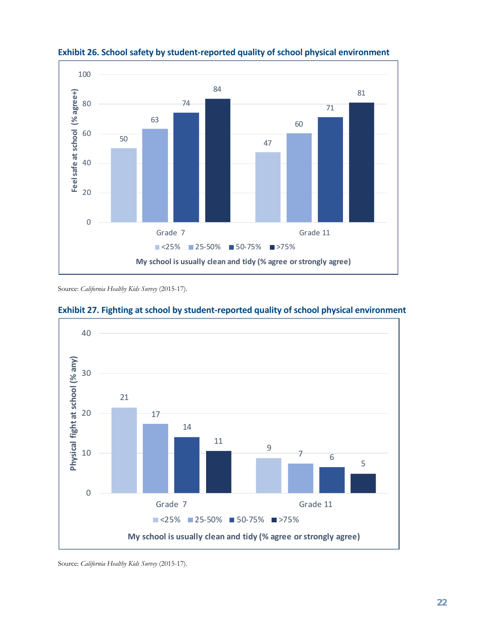

**Exhibit 26. School safety by student-reported quality of school physical environment**

Source: *California Healthy Kids Survey* (2015-17).



#### **Exhibit 27. Fighting at school by student-reported quality of school physical environment**

Source: *California Healthy Kids Survey* (2015-17).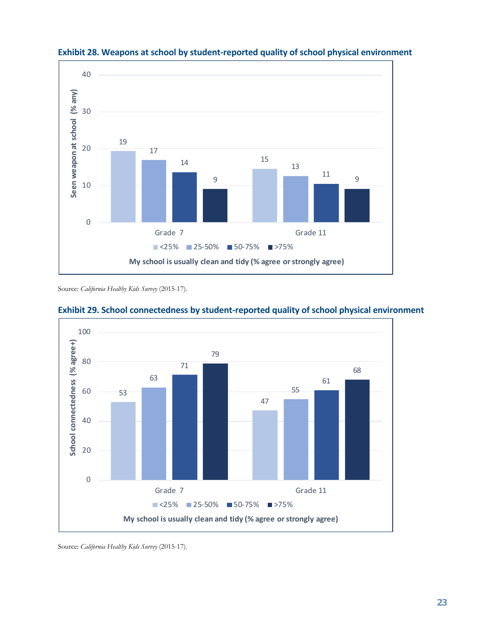



Source: *California Healthy Kids Survey* (2015-17).



#### **Exhibit 29. School connectedness by student-reported quality of school physical environment**

Source: *California Healthy Kids Survey* (2015-17).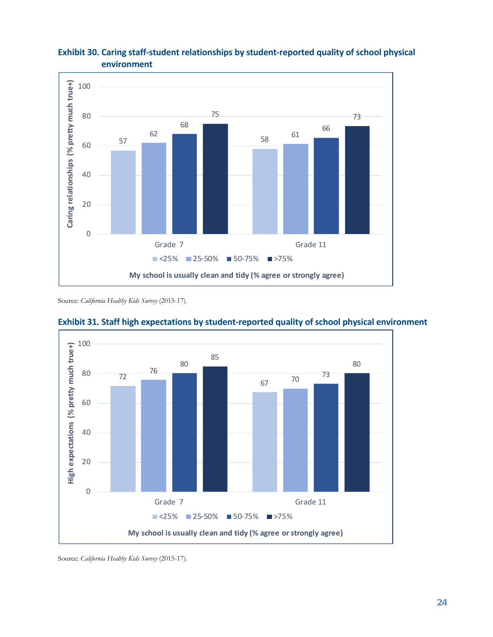

#### **Exhibit 30. Caring staff-student relationships by student-reported quality of school physical environment**

Source: *California Healthy Kids Survey* (2015-17).



**Exhibit 31. Staff high expectations by student-reported quality of school physical environment**

Source: *California Healthy Kids Survey* (2015-17).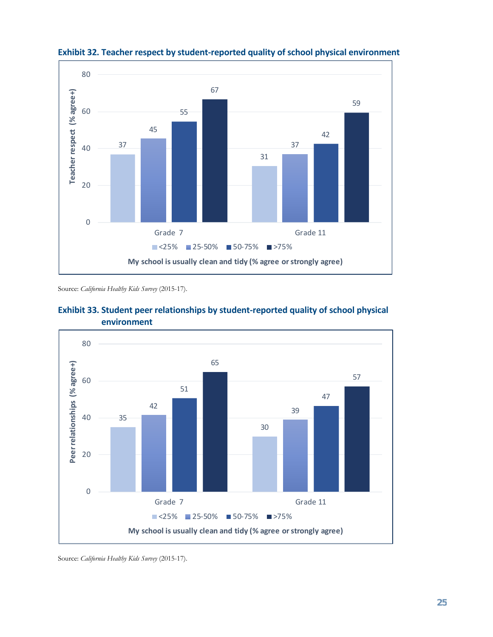

#### **Exhibit 32. Teacher respect by student-reported quality of school physical environment**

Source: *California Healthy Kids Survey* (2015-17).





Source: *California Healthy Kids Survey* (2015-17).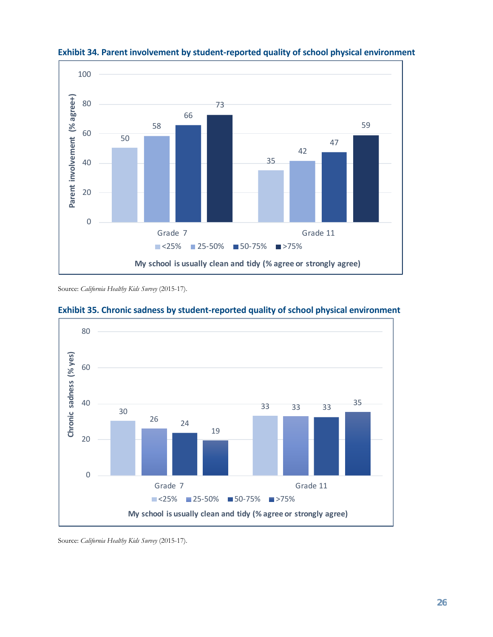

**Exhibit 34. Parent involvement by student-reported quality of school physical environment**

Source: *California Healthy Kids Survey* (2015-17).



#### **Exhibit 35. Chronic sadness by student-reported quality of school physical environment**

Source: *California Healthy Kids Survey* (2015-17).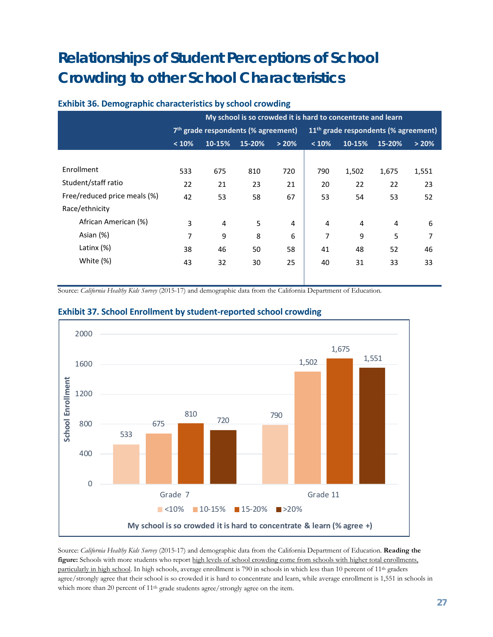## <span id="page-28-0"></span>**Relationships of Student Perceptions of School Crowding to other School Characteristics**

#### **Exhibit 36. Demographic characteristics by school crowding**

|                              | My school is so crowded it is hard to concentrate and learn |                                       |        |       |                                        |        |        |       |
|------------------------------|-------------------------------------------------------------|---------------------------------------|--------|-------|----------------------------------------|--------|--------|-------|
|                              |                                                             | $7th$ grade respondents (% agreement) |        |       | $11th$ grade respondents (% agreement) |        |        |       |
|                              | < 10%                                                       | 10-15%                                | 15-20% | > 20% | < 10%                                  | 10-15% | 15-20% | > 20% |
|                              |                                                             |                                       |        |       |                                        |        |        |       |
| Enrollment                   | 533                                                         | 675                                   | 810    | 720   | 790                                    | 1,502  | 1,675  | 1,551 |
| Student/staff ratio          | 22                                                          | 21                                    | 23     | 21    | 20                                     | 22     | 22     | 23    |
| Free/reduced price meals (%) | 42                                                          | 53                                    | 58     | 67    | 53                                     | 54     | 53     | 52    |
| Race/ethnicity               |                                                             |                                       |        |       |                                        |        |        |       |
| African American (%)         | 3                                                           | $\overline{4}$                        | 5      | 4     | 4                                      | 4      | 4      | 6     |
| Asian (%)                    | 7                                                           | 9                                     | 8      | 6     | 7                                      | 9      | 5      | 7     |
| Latinx $(\%)$                | 38                                                          | 46                                    | 50     | 58    | 41                                     | 48     | 52     | 46    |
| White (%)                    | 43                                                          | 32                                    | 30     | 25    | 40                                     | 31     | 33     | 33    |
|                              |                                                             |                                       |        |       |                                        |        |        |       |

Source: *California Healthy Kids Survey* (2015-17) and demographic data from the California Department of Education.



#### **Exhibit 37. School Enrollment by student-reported school crowding**

Source: *California Healthy Kids Survey* (2015-17) and demographic data from the California Department of Education. **Reading the figure:** Schools with more students who report high levels of school crowding come from schools with higher total enrollments, particularly in high school. In high schools, average enrollment is 790 in schools in which less than 10 percent of 11<sup>th</sup> graders agree/strongly agree that their school is so crowded it is hard to concentrate and learn, while average enrollment is 1,551 in schools in which more than 20 percent of 11<sup>th</sup> grade students agree/strongly agree on the item.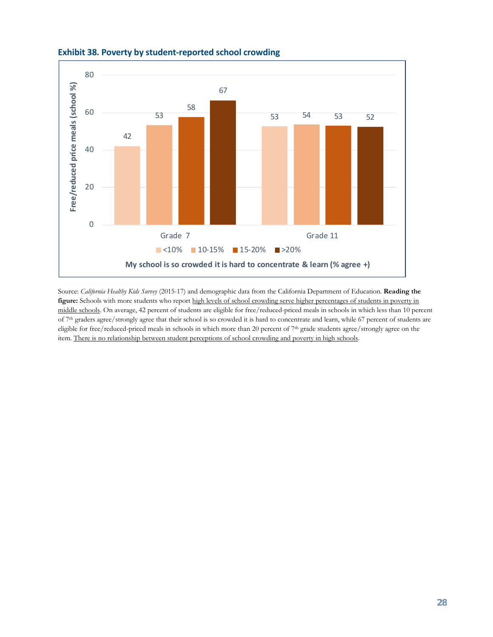

#### **Exhibit 38. Poverty by student-reported school crowding**

Source: *California Healthy Kids Survey* (2015-17) and demographic data from the California Department of Education. **Reading the figure:** Schools with more students who report high levels of school crowding serve higher percentages of students in poverty in middle schools. On average, 42 percent of students are eligible for free/reduced-priced meals in schools in which less than 10 percent of 7<sup>th</sup> graders agree/strongly agree that their school is so crowded it is hard to concentrate and learn, while 67 percent of students are eligible for free/reduced-priced meals in schools in which more than 20 percent of 7<sup>th</sup> grade students agree/strongly agree on the item. There is no relationship between student perceptions of school crowding and poverty in high schools.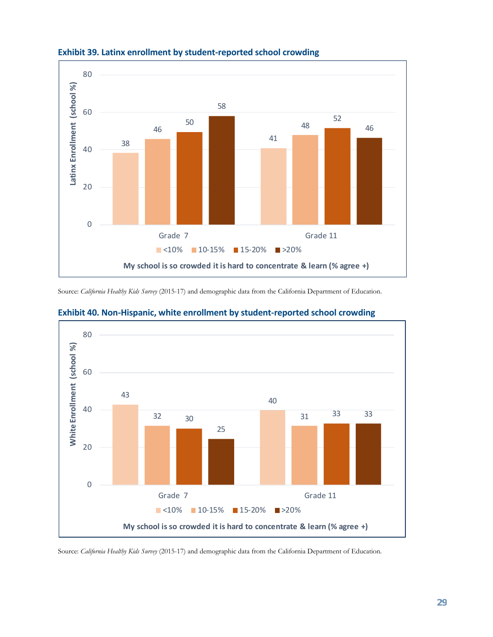

#### **Exhibit 39. Latinx enrollment by student-reported school crowding**

Source: *California Healthy Kids Survey* (2015-17) and demographic data from the California Department of Education.



#### **Exhibit 40. Non-Hispanic, white enrollment by student-reported school crowding**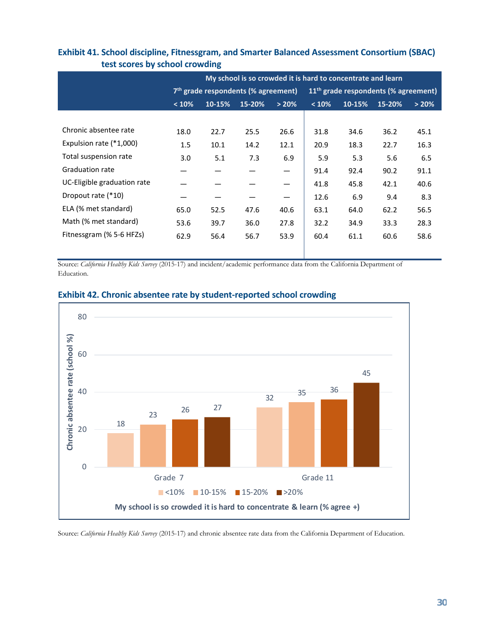|                             | My school is so crowded it is hard to concentrate and learn |        |                                                 |       |                                                  |        |        |       |  |
|-----------------------------|-------------------------------------------------------------|--------|-------------------------------------------------|-------|--------------------------------------------------|--------|--------|-------|--|
|                             |                                                             |        | 7 <sup>th</sup> grade respondents (% agreement) |       | 11 <sup>th</sup> grade respondents (% agreement) |        |        |       |  |
|                             | < 10%                                                       | 10-15% | 15-20%                                          | > 20% | < 10%                                            | 10-15% | 15-20% | > 20% |  |
|                             |                                                             |        |                                                 |       |                                                  |        |        |       |  |
| Chronic absentee rate       | 18.0                                                        | 22.7   | 25.5                                            | 26.6  | 31.8                                             | 34.6   | 36.2   | 45.1  |  |
| Expulsion rate (*1,000)     | 1.5                                                         | 10.1   | 14.2                                            | 12.1  | 20.9                                             | 18.3   | 22.7   | 16.3  |  |
| Total suspension rate       | 3.0                                                         | 5.1    | 7.3                                             | 6.9   | 5.9                                              | 5.3    | 5.6    | 6.5   |  |
| <b>Graduation rate</b>      |                                                             |        |                                                 |       | 91.4                                             | 92.4   | 90.2   | 91.1  |  |
| UC-Eligible graduation rate |                                                             |        |                                                 |       | 41.8                                             | 45.8   | 42.1   | 40.6  |  |
| Dropout rate (*10)          |                                                             |        |                                                 |       | 12.6                                             | 6.9    | 9.4    | 8.3   |  |
| ELA (% met standard)        | 65.0                                                        | 52.5   | 47.6                                            | 40.6  | 63.1                                             | 64.0   | 62.2   | 56.5  |  |
| Math (% met standard)       | 53.6                                                        | 39.7   | 36.0                                            | 27.8  | 32.2                                             | 34.9   | 33.3   | 28.3  |  |
| Fitnessgram (% 5-6 HFZs)    | 62.9                                                        | 56.4   | 56.7                                            | 53.9  | 60.4                                             | 61.1   | 60.6   | 58.6  |  |
|                             |                                                             |        |                                                 |       |                                                  |        |        |       |  |

#### **Exhibit 41. School discipline, Fitnessgram, and Smarter Balanced Assessment Consortium (SBAC) test scores by school crowding**

Source: *California Healthy Kids Survey* (2015-17) and incident/academic performance data from the California Department of Education.



#### **Exhibit 42. Chronic absentee rate by student-reported school crowding**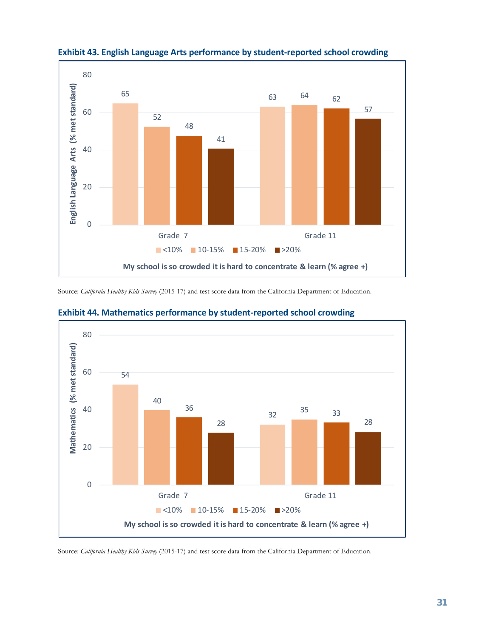



Source: *California Healthy Kids Survey* (2015-17) and test score data from the California Department of Education.



#### **Exhibit 44. Mathematics performance by student-reported school crowding**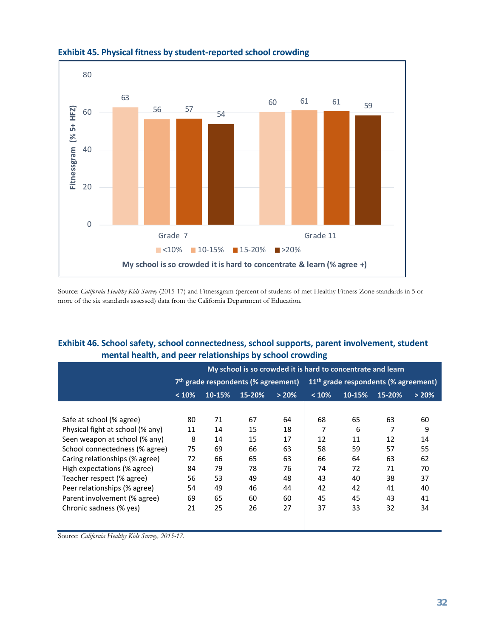

#### **Exhibit 45. Physical fitness by student-reported school crowding**

Source: *California Healthy Kids Survey* (2015-17) and Fitnessgram (percent of students of met Healthy Fitness Zone standards in 5 or more of the six standards assessed) data from the California Department of Education.

#### **Exhibit 46. School safety, school connectedness, school supports, parent involvement, student mental health, and peer relationships by school crowding**

|                                  |       | My school is so crowded it is hard to concentrate and learn |                                                 |       |                                        |        |        |       |  |
|----------------------------------|-------|-------------------------------------------------------------|-------------------------------------------------|-------|----------------------------------------|--------|--------|-------|--|
|                                  |       |                                                             | 7 <sup>th</sup> grade respondents (% agreement) |       | $11th$ grade respondents (% agreement) |        |        |       |  |
|                                  | < 10% | 10-15%                                                      | 15-20%                                          | > 20% | < 10%                                  | 10-15% | 15-20% | > 20% |  |
|                                  |       |                                                             |                                                 |       |                                        |        |        |       |  |
| Safe at school (% agree)         | 80    | 71                                                          | 67                                              | 64    | 68                                     | 65     | 63     | 60    |  |
| Physical fight at school (% any) | 11    | 14                                                          | 15                                              | 18    | 7                                      | 6      | 7      | 9     |  |
| Seen weapon at school (% any)    | 8     | 14                                                          | 15                                              | 17    | 12                                     | 11     | 12     | 14    |  |
| School connectedness (% agree)   | 75    | 69                                                          | 66                                              | 63    | 58                                     | 59     | 57     | 55    |  |
| Caring relationships (% agree)   | 72    | 66                                                          | 65                                              | 63    | 66                                     | 64     | 63     | 62    |  |
| High expectations (% agree)      | 84    | 79                                                          | 78                                              | 76    | 74                                     | 72     | 71     | 70    |  |
| Teacher respect (% agree)        | 56    | 53                                                          | 49                                              | 48    | 43                                     | 40     | 38     | 37    |  |
| Peer relationships (% agree)     | 54    | 49                                                          | 46                                              | 44    | 42                                     | 42     | 41     | 40    |  |
| Parent involvement (% agree)     | 69    | 65                                                          | 60                                              | 60    | 45                                     | 45     | 43     | 41    |  |
| Chronic sadness (% yes)          | 21    | 25                                                          | 26                                              | 27    | 37                                     | 33     | 32     | 34    |  |
|                                  |       |                                                             |                                                 |       |                                        |        |        |       |  |
|                                  |       |                                                             |                                                 |       |                                        |        |        |       |  |

Source: *California Healthy Kids Survey, 2015-17*.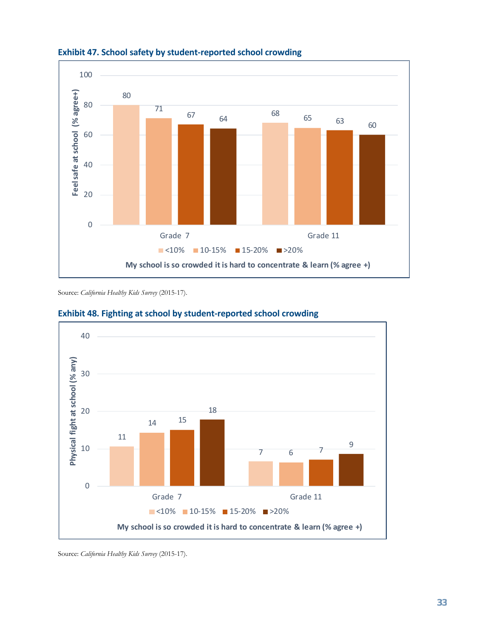

**Exhibit 47. School safety by student-reported school crowding**

Source: *California Healthy Kids Survey* (2015-17).



#### **Exhibit 48. Fighting at school by student-reported school crowding**

Source: *California Healthy Kids Survey* (2015-17).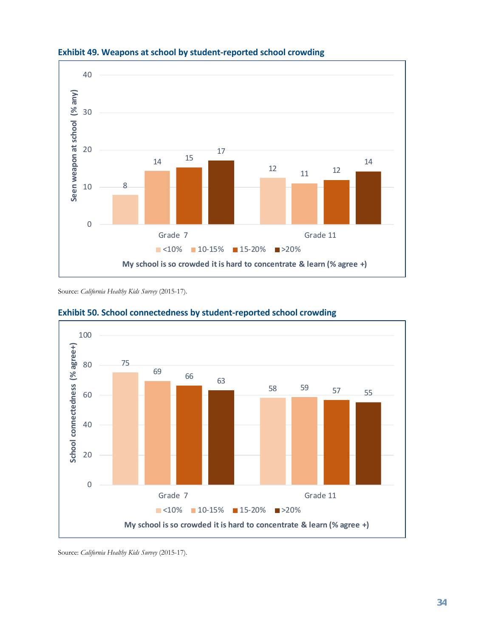

#### **Exhibit 49. Weapons at school by student-reported school crowding**

Source: *California Healthy Kids Survey* (2015-17).



#### **Exhibit 50. School connectedness by student-reported school crowding**

Source: *California Healthy Kids Survey* (2015-17).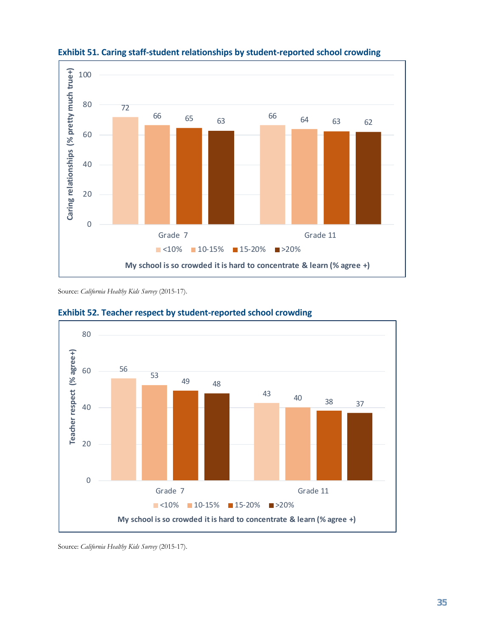

**Exhibit 51. Caring staff-student relationships by student-reported school crowding**

Source: *California Healthy Kids Survey* (2015-17).



#### **Exhibit 52. Teacher respect by student-reported school crowding**

Source: *California Healthy Kids Survey* (2015-17).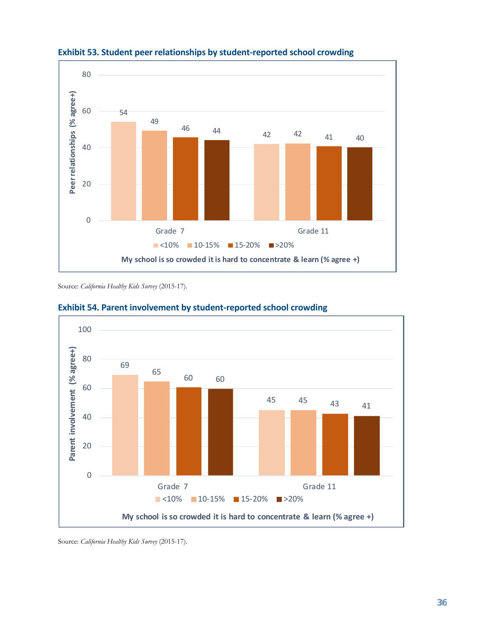

**Exhibit 53. Student peer relationships by student-reported school crowding**

Source: *California Healthy Kids Survey* (2015-17).



**Exhibit 54. Parent involvement by student-reported school crowding**

Source: *California Healthy Kids Survey* (2015-17).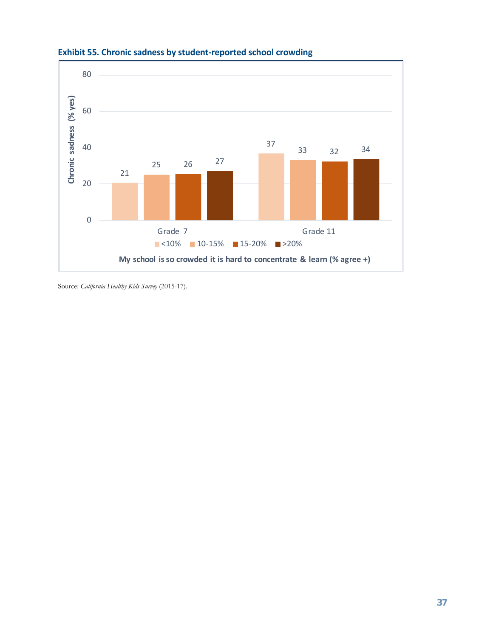

#### **Exhibit 55. Chronic sadness by student-reported school crowding**

Source: *California Healthy Kids Survey* (2015-17).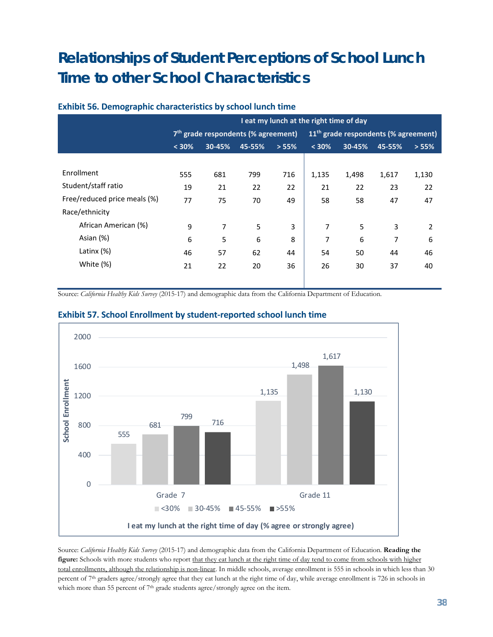## <span id="page-39-0"></span>**Relationships of Student Perceptions of School Lunch Time to other School Characteristics**

|                              | I eat my lunch at the right time of day |                                                 |        |       |                                                  |        |        |       |
|------------------------------|-----------------------------------------|-------------------------------------------------|--------|-------|--------------------------------------------------|--------|--------|-------|
|                              |                                         | 7 <sup>th</sup> grade respondents (% agreement) |        |       | 11 <sup>th</sup> grade respondents (% agreement) |        |        |       |
|                              | < 30%                                   | 30-45%                                          | 45-55% | > 55% | $< 30\%$                                         | 30-45% | 45-55% | > 55% |
|                              |                                         |                                                 |        |       |                                                  |        |        |       |
| Enrollment                   | 555                                     | 681                                             | 799    | 716   | 1,135                                            | 1,498  | 1,617  | 1,130 |
| Student/staff ratio          | 19                                      | 21                                              | 22     | 22    | 21                                               | 22     | 23     | 22    |
| Free/reduced price meals (%) | 77                                      | 75                                              | 70     | 49    | 58                                               | 58     | 47     | 47    |
| Race/ethnicity               |                                         |                                                 |        |       |                                                  |        |        |       |
| African American (%)         | 9                                       | 7                                               | 5      | 3     | 7                                                | 5      | 3      | 2     |
| Asian (%)                    | 6                                       | 5                                               | 6      | 8     | 7                                                | 6      | 7      | 6     |
| Latinx $(\%)$                | 46                                      | 57                                              | 62     | 44    | 54                                               | 50     | 44     | 46    |
| White (%)                    | 21                                      | 22                                              | 20     | 36    | 26                                               | 30     | 37     | 40    |
|                              |                                         |                                                 |        |       |                                                  |        |        |       |

#### **Exhibit 56. Demographic characteristics by school lunch time**

Source: *California Healthy Kids Survey* (2015-17) and demographic data from the California Department of Education.



#### **Exhibit 57. School Enrollment by student-reported school lunch time**

Source: *California Healthy Kids Survey* (2015-17) and demographic data from the California Department of Education. **Reading the figure:** Schools with more students who report that they eat lunch at the right time of day tend to come from schools with higher total enrollments, although the relationship is non-linear. In middle schools, average enrollment is 555 in schools in which less than 30 percent of 7th graders agree/strongly agree that they eat lunch at the right time of day, while average enrollment is 726 in schools in which more than 55 percent of 7<sup>th</sup> grade students agree/strongly agree on the item.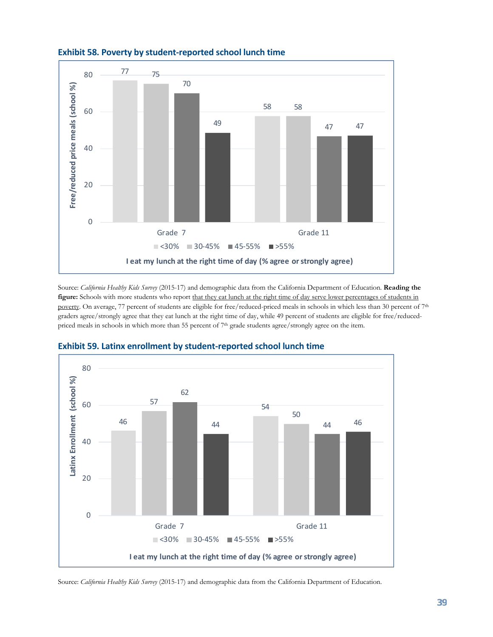

#### **Exhibit 58. Poverty by student-reported school lunch time**

Source: *California Healthy Kids Survey* (2015-17) and demographic data from the California Department of Education. **Reading the figure:** Schools with more students who report that they eat lunch at the right time of day serve lower percentages of students in poverty. On average, 77 percent of students are eligible for free/reduced-priced meals in schools in which less than 30 percent of 7<sup>th</sup> graders agree/strongly agree that they eat lunch at the right time of day, while 49 percent of students are eligible for free/reducedpriced meals in schools in which more than 55 percent of 7<sup>th</sup> grade students agree/strongly agree on the item.



#### **Exhibit 59. Latinx enrollment by student-reported school lunch time**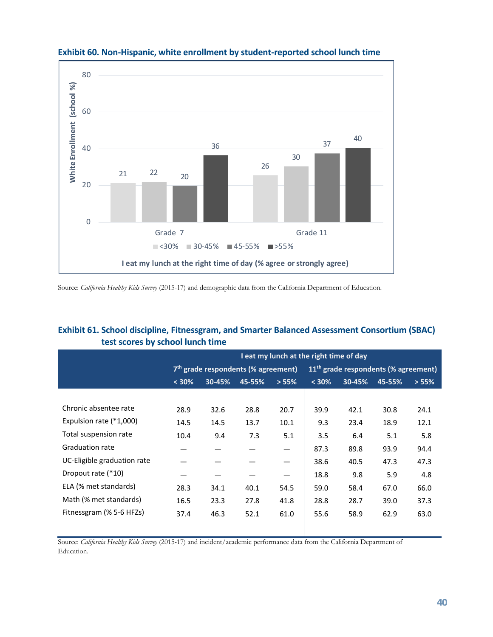

#### **Exhibit 60. Non-Hispanic, white enrollment by student-reported school lunch time**

Source: *California Healthy Kids Survey* (2015-17) and demographic data from the California Department of Education.

#### **Exhibit 61. School discipline, Fitnessgram, and Smarter Balanced Assessment Consortium (SBAC) test scores by school lunch time**

|                             |       | I eat my lunch at the right time of day         |        |       |                                                  |        |        |       |  |
|-----------------------------|-------|-------------------------------------------------|--------|-------|--------------------------------------------------|--------|--------|-------|--|
|                             |       | 7 <sup>th</sup> grade respondents (% agreement) |        |       | 11 <sup>th</sup> grade respondents (% agreement) |        |        |       |  |
|                             | < 30% | 30-45%                                          | 45-55% | > 55% | $< 30\%$                                         | 30-45% | 45-55% | > 55% |  |
|                             |       |                                                 |        |       |                                                  |        |        |       |  |
| Chronic absentee rate       | 28.9  | 32.6                                            | 28.8   | 20.7  | 39.9                                             | 42.1   | 30.8   | 24.1  |  |
| Expulsion rate (*1,000)     | 14.5  | 14.5                                            | 13.7   | 10.1  | 9.3                                              | 23.4   | 18.9   | 12.1  |  |
| Total suspension rate       | 10.4  | 9.4                                             | 7.3    | 5.1   | 3.5                                              | 6.4    | 5.1    | 5.8   |  |
| <b>Graduation rate</b>      |       |                                                 |        |       | 87.3                                             | 89.8   | 93.9   | 94.4  |  |
| UC-Eligible graduation rate |       |                                                 |        |       | 38.6                                             | 40.5   | 47.3   | 47.3  |  |
| Dropout rate (*10)          |       |                                                 |        | —     | 18.8                                             | 9.8    | 5.9    | 4.8   |  |
| ELA (% met standards)       | 28.3  | 34.1                                            | 40.1   | 54.5  | 59.0                                             | 58.4   | 67.0   | 66.0  |  |
| Math (% met standards)      | 16.5  | 23.3                                            | 27.8   | 41.8  | 28.8                                             | 28.7   | 39.0   | 37.3  |  |
| Fitnessgram (% 5-6 HFZs)    | 37.4  | 46.3                                            | 52.1   | 61.0  | 55.6                                             | 58.9   | 62.9   | 63.0  |  |

Source: *California Healthy Kids Survey* (2015-17) and incident/academic performance data from the California Department of Education.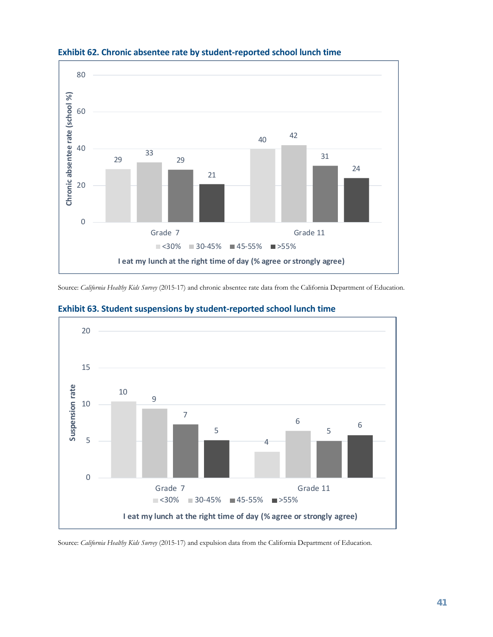

#### **Exhibit 62. Chronic absentee rate by student-reported school lunch time**

Source: *California Healthy Kids Survey* (2015-17) and chronic absentee rate data from the California Department of Education.



#### **Exhibit 63. Student suspensions by student-reported school lunch time**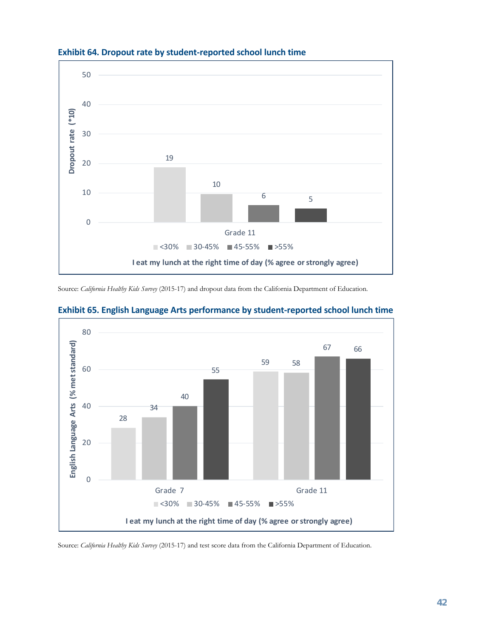

#### **Exhibit 64. Dropout rate by student-reported school lunch time**

Source: *California Healthy Kids Survey* (2015-17) and dropout data from the California Department of Education.



#### **Exhibit 65. English Language Arts performance by student-reported school lunch time**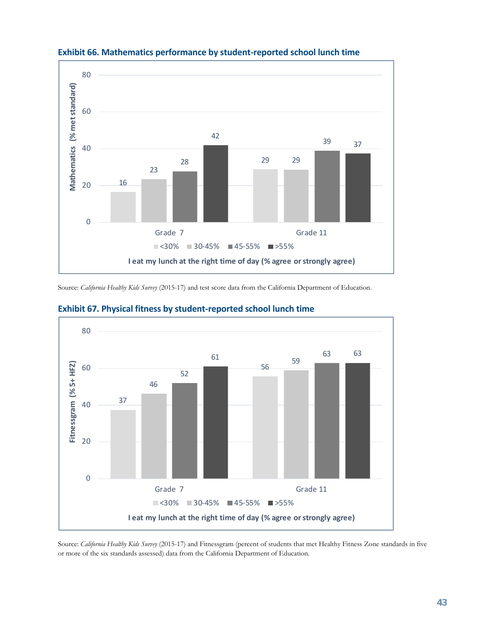

#### **Exhibit 66. Mathematics performance by student-reported school lunch time**

Source: *California Healthy Kids Survey* (2015-17) and test score data from the California Department of Education.



#### **Exhibit 67. Physical fitness by student-reported school lunch time**

Source: *California Healthy Kids Survey* (2015-17) and Fitnessgram (percent of students that met Healthy Fitness Zone standards in five or more of the six standards assessed) data from the California Department of Education.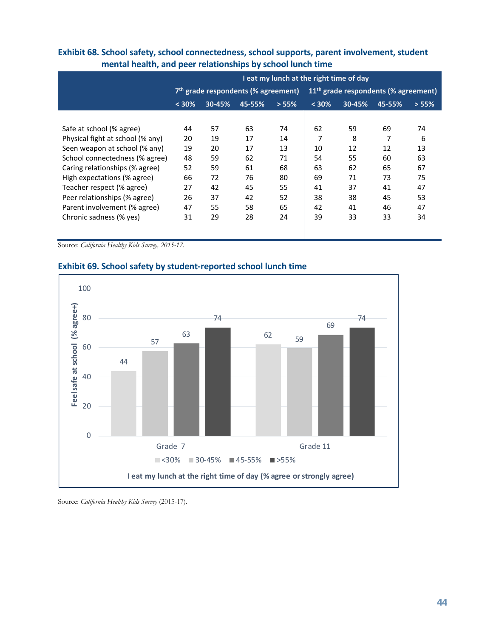|                                  | I eat my lunch at the right time of day         |        |        |       |                                                  |        |        |       |  |  |
|----------------------------------|-------------------------------------------------|--------|--------|-------|--------------------------------------------------|--------|--------|-------|--|--|
|                                  | 7 <sup>th</sup> grade respondents (% agreement) |        |        |       | 11 <sup>th</sup> grade respondents (% agreement) |        |        |       |  |  |
|                                  | < 30%                                           | 30-45% | 45-55% | > 55% | < 30%                                            | 30-45% | 45-55% | > 55% |  |  |
|                                  |                                                 |        |        |       |                                                  |        |        |       |  |  |
| Safe at school (% agree)         | 44                                              | 57     | 63     | 74    | 62                                               | 59     | 69     | 74    |  |  |
| Physical fight at school (% any) | 20                                              | 19     | 17     | 14    | 7                                                | 8      | 7      | 6     |  |  |
| Seen weapon at school (% any)    | 19                                              | 20     | 17     | 13    | 10                                               | 12     | 12     | 13    |  |  |
| School connectedness (% agree)   | 48                                              | 59     | 62     | 71    | 54                                               | 55     | 60     | 63    |  |  |
| Caring relationships (% agree)   | 52                                              | 59     | 61     | 68    | 63                                               | 62     | 65     | 67    |  |  |
| High expectations (% agree)      | 66                                              | 72     | 76     | 80    | 69                                               | 71     | 73     | 75    |  |  |
| Teacher respect (% agree)        | 27                                              | 42     | 45     | 55    | 41                                               | 37     | 41     | 47    |  |  |
| Peer relationships (% agree)     | 26                                              | 37     | 42     | 52    | 38                                               | 38     | 45     | 53    |  |  |
| Parent involvement (% agree)     | 47                                              | 55     | 58     | 65    | 42                                               | 41     | 46     | 47    |  |  |
| Chronic sadness (% yes)          | 31                                              | 29     | 28     | 24    | 39                                               | 33     | 33     | 34    |  |  |
|                                  |                                                 |        |        |       |                                                  |        |        |       |  |  |
|                                  |                                                 |        |        |       |                                                  |        |        |       |  |  |

#### **Exhibit 68. School safety, school connectedness, school supports, parent involvement, student mental health, and peer relationships by school lunch time**

Source: *California Healthy Kids Survey, 2015-17*.



#### **Exhibit 69. School safety by student-reported school lunch time**

Source: *California Healthy Kids Survey* (2015-17).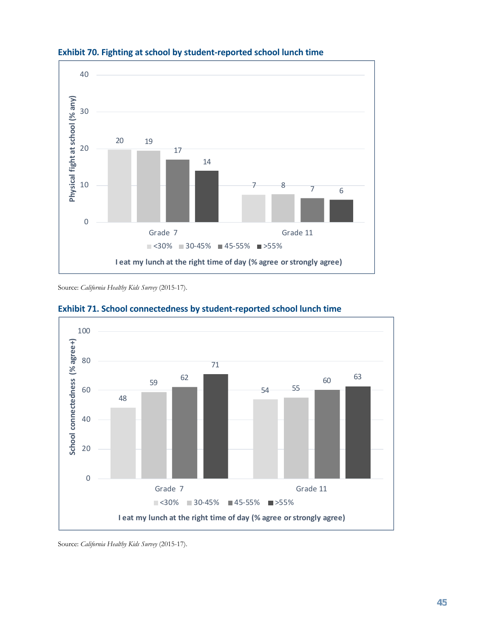

### **Exhibit 70. Fighting at school by student-reported school lunch time**

Source: *California Healthy Kids Survey* (2015-17).



#### **Exhibit 71. School connectedness by student-reported school lunch time**

Source: *California Healthy Kids Survey* (2015-17).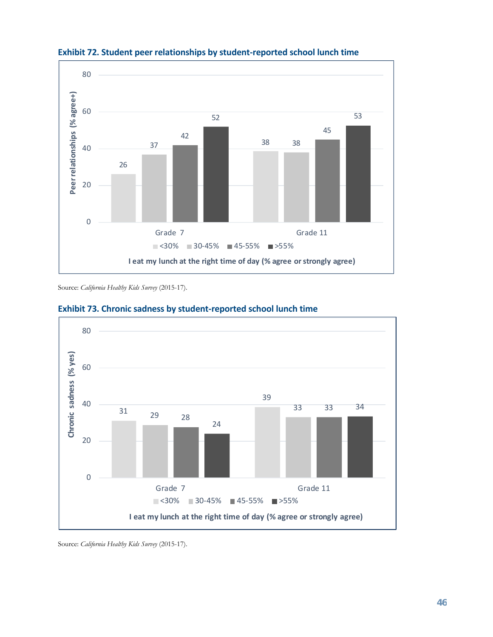

![](_page_47_Figure_1.jpeg)

Source: *California Healthy Kids Survey* (2015-17).

![](_page_47_Figure_3.jpeg)

#### **Exhibit 73. Chronic sadness by student-reported school lunch time**

Source: *California Healthy Kids Survey* (2015-17).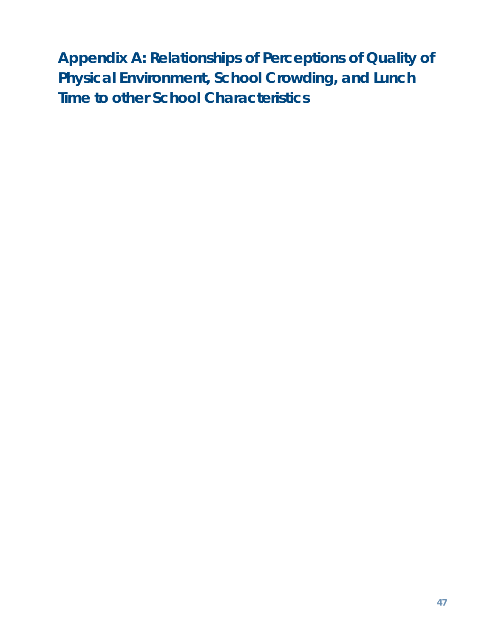<span id="page-48-0"></span>**Appendix A: Relationships of Perceptions of Quality of Physical Environment, School Crowding, and Lunch Time to other School Characteristics**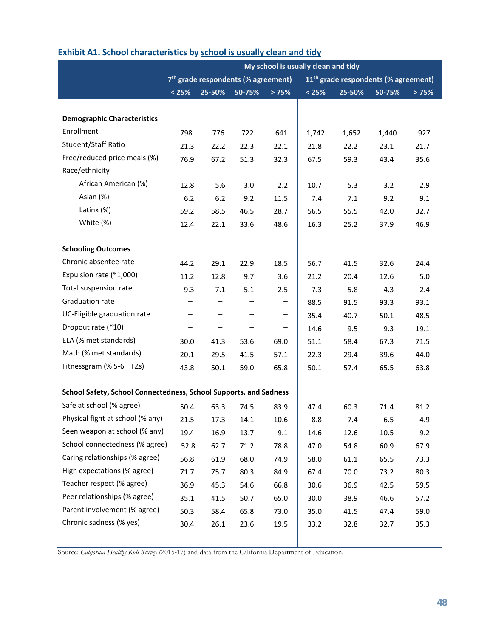|                                                                   |                                                                                                     |        |                          |                          | My school is usually clean and tidy |        |        |       |
|-------------------------------------------------------------------|-----------------------------------------------------------------------------------------------------|--------|--------------------------|--------------------------|-------------------------------------|--------|--------|-------|
|                                                                   | 7 <sup>th</sup> grade respondents (% agreement)<br>11 <sup>th</sup> grade respondents (% agreement) |        |                          |                          |                                     |        |        |       |
|                                                                   | < 25%                                                                                               | 25-50% | 50-75%                   | >75%                     | < 25%                               | 25-50% | 50-75% | > 75% |
|                                                                   |                                                                                                     |        |                          |                          |                                     |        |        |       |
| <b>Demographic Characteristics</b>                                |                                                                                                     |        |                          |                          |                                     |        |        |       |
| Enrollment                                                        | 798                                                                                                 | 776    | 722                      | 641                      | 1,742                               | 1,652  | 1,440  | 927   |
| Student/Staff Ratio                                               | 21.3                                                                                                | 22.2   | 22.3                     | 22.1                     | 21.8                                | 22.2   | 23.1   | 21.7  |
| Free/reduced price meals (%)                                      | 76.9                                                                                                | 67.2   | 51.3                     | 32.3                     | 67.5                                | 59.3   | 43.4   | 35.6  |
| Race/ethnicity                                                    |                                                                                                     |        |                          |                          |                                     |        |        |       |
| African American (%)                                              | 12.8                                                                                                | 5.6    | 3.0                      | 2.2                      | 10.7                                | 5.3    | 3.2    | 2.9   |
| Asian (%)                                                         | $6.2$                                                                                               | 6.2    | 9.2                      | 11.5                     | 7.4                                 | 7.1    | 9.2    | 9.1   |
| Latinx (%)                                                        | 59.2                                                                                                | 58.5   | 46.5                     | 28.7                     | 56.5                                | 55.5   | 42.0   | 32.7  |
| White (%)                                                         | 12.4                                                                                                | 22.1   | 33.6                     | 48.6                     | 16.3                                | 25.2   | 37.9   | 46.9  |
|                                                                   |                                                                                                     |        |                          |                          |                                     |        |        |       |
| <b>Schooling Outcomes</b>                                         |                                                                                                     |        |                          |                          |                                     |        |        |       |
| Chronic absentee rate                                             | 44.2                                                                                                | 29.1   | 22.9                     | 18.5                     | 56.7                                | 41.5   | 32.6   | 24.4  |
| Expulsion rate (*1,000)                                           | 11.2                                                                                                | 12.8   | 9.7                      | 3.6                      | 21.2                                | 20.4   | 12.6   | 5.0   |
| Total suspension rate                                             | 9.3                                                                                                 | 7.1    | 5.1                      | 2.5                      | 7.3                                 | 5.8    | 4.3    | 2.4   |
| Graduation rate                                                   |                                                                                                     |        |                          | -                        | 88.5                                | 91.5   | 93.3   | 93.1  |
| UC-Eligible graduation rate                                       | $\overline{\phantom{m}}$                                                                            | -      |                          | -                        | 35.4                                | 40.7   | 50.1   | 48.5  |
| Dropout rate (*10)                                                | $\qquad \qquad -$                                                                                   | -      | $\overline{\phantom{m}}$ | $\overline{\phantom{0}}$ | 14.6                                | 9.5    | 9.3    | 19.1  |
| ELA (% met standards)                                             | 30.0                                                                                                | 41.3   | 53.6                     | 69.0                     | 51.1                                | 58.4   | 67.3   | 71.5  |
| Math (% met standards)                                            | 20.1                                                                                                | 29.5   | 41.5                     | 57.1                     | 22.3                                | 29.4   | 39.6   | 44.0  |
| Fitnessgram (% 5-6 HFZs)                                          | 43.8                                                                                                | 50.1   | 59.0                     | 65.8                     | 50.1                                | 57.4   | 65.5   | 63.8  |
|                                                                   |                                                                                                     |        |                          |                          |                                     |        |        |       |
| School Safety, School Connectedness, School Supports, and Sadness |                                                                                                     |        |                          |                          |                                     |        |        |       |
| Safe at school (% agree)                                          | 50.4                                                                                                | 63.3   | 74.5                     | 83.9                     | 47.4                                | 60.3   | 71.4   | 81.2  |
| Physical fight at school (% any)                                  | 21.5                                                                                                | 17.3   | 14.1                     | 10.6                     | 8.8                                 | 7.4    | 6.5    | 4.9   |
| Seen weapon at school (% any)                                     | 19.4                                                                                                | 16.9   | 13.7                     | 9.1                      | 14.6                                | 12.6   | 10.5   | 9.2   |
| School connectedness (% agree)                                    | 52.8                                                                                                | 62.7   | 71.2                     | 78.8                     | 47.0                                | 54.8   | 60.9   | 67.9  |
| Caring relationships (% agree)                                    | 56.8                                                                                                | 61.9   | 68.0                     | 74.9                     | 58.0                                | 61.1   | 65.5   | 73.3  |
| High expectations (% agree)                                       | 71.7                                                                                                | 75.7   | 80.3                     | 84.9                     | 67.4                                | 70.0   | 73.2   | 80.3  |
| Teacher respect (% agree)                                         | 36.9                                                                                                | 45.3   | 54.6                     | 66.8                     | 30.6                                | 36.9   | 42.5   | 59.5  |
| Peer relationships (% agree)                                      | 35.1                                                                                                | 41.5   | 50.7                     | 65.0                     | 30.0                                | 38.9   | 46.6   | 57.2  |
| Parent involvement (% agree)                                      | 50.3                                                                                                | 58.4   | 65.8                     | 73.0                     | 35.0                                | 41.5   | 47.4   | 59.0  |
| Chronic sadness (% yes)                                           | 30.4                                                                                                | 26.1   | 23.6                     | 19.5                     | 33.2                                | 32.8   | 32.7   | 35.3  |
|                                                                   |                                                                                                     |        |                          |                          |                                     |        |        |       |

### **Exhibit A1. School characteristics by school is usually clean and tidy**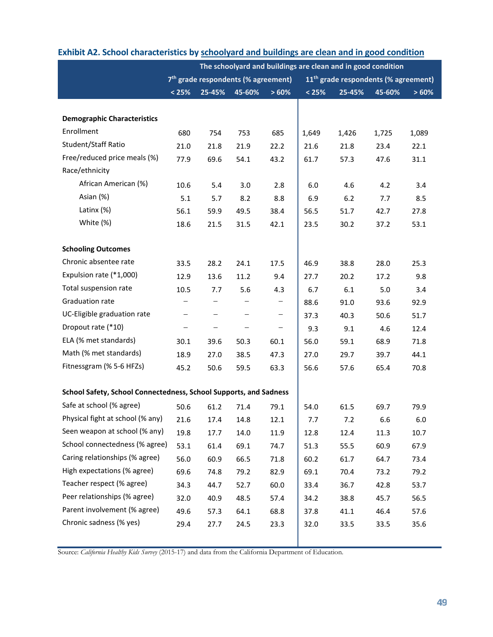|                                                                   | The schoolyard and buildings are clean and in good condition |                          |                                                 |                   |                                                  |        |        |       |  |
|-------------------------------------------------------------------|--------------------------------------------------------------|--------------------------|-------------------------------------------------|-------------------|--------------------------------------------------|--------|--------|-------|--|
|                                                                   |                                                              |                          | 7 <sup>th</sup> grade respondents (% agreement) |                   | 11 <sup>th</sup> grade respondents (% agreement) |        |        |       |  |
|                                                                   | < 25%                                                        | 25-45%                   | 45-60%                                          | >60%              | < 25%                                            | 25-45% | 45-60% | >60%  |  |
|                                                                   |                                                              |                          |                                                 |                   |                                                  |        |        |       |  |
| <b>Demographic Characteristics</b>                                |                                                              |                          |                                                 |                   |                                                  |        |        |       |  |
| Enrollment                                                        | 680                                                          | 754                      | 753                                             | 685               | 1,649                                            | 1,426  | 1,725  | 1,089 |  |
| Student/Staff Ratio                                               | 21.0                                                         | 21.8                     | 21.9                                            | 22.2              | 21.6                                             | 21.8   | 23.4   | 22.1  |  |
| Free/reduced price meals (%)                                      | 77.9                                                         | 69.6                     | 54.1                                            | 43.2              | 61.7                                             | 57.3   | 47.6   | 31.1  |  |
| Race/ethnicity                                                    |                                                              |                          |                                                 |                   |                                                  |        |        |       |  |
| African American (%)                                              | 10.6                                                         | 5.4                      | 3.0                                             | 2.8               | 6.0                                              | 4.6    | 4.2    | 3.4   |  |
| Asian (%)                                                         | 5.1                                                          | 5.7                      | 8.2                                             | 8.8               | 6.9                                              | 6.2    | 7.7    | 8.5   |  |
| Latinx (%)                                                        | 56.1                                                         | 59.9                     | 49.5                                            | 38.4              | 56.5                                             | 51.7   | 42.7   | 27.8  |  |
| White (%)                                                         | 18.6                                                         | 21.5                     | 31.5                                            | 42.1              | 23.5                                             | 30.2   | 37.2   | 53.1  |  |
|                                                                   |                                                              |                          |                                                 |                   |                                                  |        |        |       |  |
| <b>Schooling Outcomes</b>                                         |                                                              |                          |                                                 |                   |                                                  |        |        |       |  |
| Chronic absentee rate                                             | 33.5                                                         | 28.2                     | 24.1                                            | 17.5              | 46.9                                             | 38.8   | 28.0   | 25.3  |  |
| Expulsion rate (*1,000)                                           | 12.9                                                         | 13.6                     | 11.2                                            | 9.4               | 27.7                                             | 20.2   | 17.2   | 9.8   |  |
| Total suspension rate                                             | 10.5                                                         | 7.7                      | 5.6                                             | 4.3               | 6.7                                              | 6.1    | 5.0    | 3.4   |  |
| Graduation rate                                                   | -                                                            | -                        |                                                 | -                 | 88.6                                             | 91.0   | 93.6   | 92.9  |  |
| UC-Eligible graduation rate                                       | $\overline{\phantom{m}}$                                     | $\overline{\phantom{m}}$ | $\overline{\phantom{0}}$                        | $\qquad \qquad -$ | 37.3                                             | 40.3   | 50.6   | 51.7  |  |
| Dropout rate (*10)                                                | $\overline{\phantom{0}}$                                     | $\qquad \qquad -$        | -                                               | $\qquad \qquad -$ | 9.3                                              | 9.1    | 4.6    | 12.4  |  |
| ELA (% met standards)                                             | 30.1                                                         | 39.6                     | 50.3                                            | 60.1              | 56.0                                             | 59.1   | 68.9   | 71.8  |  |
| Math (% met standards)                                            | 18.9                                                         | 27.0                     | 38.5                                            | 47.3              | 27.0                                             | 29.7   | 39.7   | 44.1  |  |
| Fitnessgram (% 5-6 HFZs)                                          | 45.2                                                         | 50.6                     | 59.5                                            | 63.3              | 56.6                                             | 57.6   | 65.4   | 70.8  |  |
|                                                                   |                                                              |                          |                                                 |                   |                                                  |        |        |       |  |
| School Safety, School Connectedness, School Supports, and Sadness |                                                              |                          |                                                 |                   |                                                  |        |        |       |  |
| Safe at school (% agree)                                          | 50.6                                                         | 61.2                     | 71.4                                            | 79.1              | 54.0                                             | 61.5   | 69.7   | 79.9  |  |
| Physical fight at school (% any)                                  | 21.6                                                         | 17.4                     | 14.8                                            | 12.1              | 7.7                                              | 7.2    | 6.6    | 6.0   |  |
| Seen weapon at school (% any)                                     | 19.8                                                         | 17.7                     | 14.0                                            | 11.9              | 12.8                                             | 12.4   | 11.3   | 10.7  |  |
| School connectedness (% agree)                                    | 53.1                                                         | 61.4                     | 69.1                                            | 74.7              | 51.3                                             | 55.5   | 60.9   | 67.9  |  |
| Caring relationships (% agree)                                    | 56.0                                                         | 60.9                     | 66.5                                            | 71.8              | 60.2                                             | 61.7   | 64.7   | 73.4  |  |
| High expectations (% agree)                                       | 69.6                                                         | 74.8                     | 79.2                                            | 82.9              | 69.1                                             | 70.4   | 73.2   | 79.2  |  |
| Teacher respect (% agree)                                         | 34.3                                                         | 44.7                     | 52.7                                            | 60.0              | 33.4                                             | 36.7   | 42.8   | 53.7  |  |
| Peer relationships (% agree)                                      | 32.0                                                         | 40.9                     | 48.5                                            | 57.4              | 34.2                                             | 38.8   | 45.7   | 56.5  |  |
| Parent involvement (% agree)                                      | 49.6                                                         | 57.3                     | 64.1                                            | 68.8              | 37.8                                             | 41.1   | 46.4   | 57.6  |  |
| Chronic sadness (% yes)                                           | 29.4                                                         | 27.7                     | 24.5                                            | 23.3              | 32.0                                             | 33.5   | 33.5   | 35.6  |  |
|                                                                   |                                                              |                          |                                                 |                   |                                                  |        |        |       |  |
|                                                                   |                                                              |                          |                                                 |                   |                                                  |        |        |       |  |

## **Exhibit A2. School characteristics by schoolyard and buildings are clean and in good condition**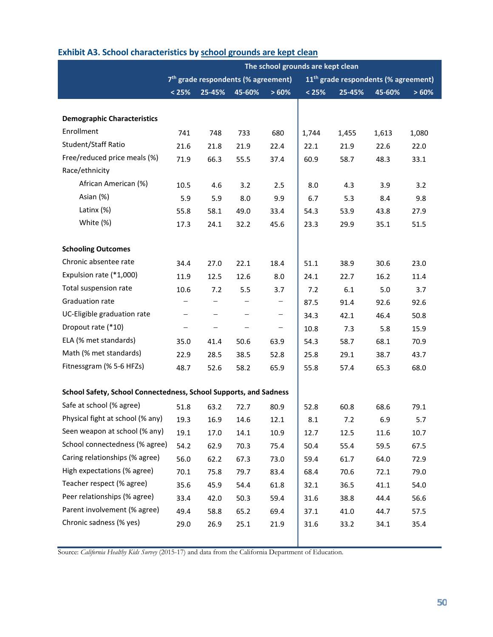|                                                                   | The school grounds are kept clean                                                                   |                   |                   |                          |       |        |        |       |  |
|-------------------------------------------------------------------|-----------------------------------------------------------------------------------------------------|-------------------|-------------------|--------------------------|-------|--------|--------|-------|--|
|                                                                   | 7 <sup>th</sup> grade respondents (% agreement)<br>11 <sup>th</sup> grade respondents (% agreement) |                   |                   |                          |       |        |        |       |  |
|                                                                   | < 25%                                                                                               | 25-45%            | 45-60%            | >60%                     | < 25% | 25-45% | 45-60% | >60%  |  |
|                                                                   |                                                                                                     |                   |                   |                          |       |        |        |       |  |
| <b>Demographic Characteristics</b>                                |                                                                                                     |                   |                   |                          |       |        |        |       |  |
| Enrollment                                                        | 741                                                                                                 | 748               | 733               | 680                      | 1,744 | 1,455  | 1,613  | 1,080 |  |
| Student/Staff Ratio                                               | 21.6                                                                                                | 21.8              | 21.9              | 22.4                     | 22.1  | 21.9   | 22.6   | 22.0  |  |
| Free/reduced price meals (%)                                      | 71.9                                                                                                | 66.3              | 55.5              | 37.4                     | 60.9  | 58.7   | 48.3   | 33.1  |  |
| Race/ethnicity                                                    |                                                                                                     |                   |                   |                          |       |        |        |       |  |
| African American (%)                                              | 10.5                                                                                                | 4.6               | 3.2               | 2.5                      | 8.0   | 4.3    | 3.9    | 3.2   |  |
| Asian (%)                                                         | 5.9                                                                                                 | 5.9               | 8.0               | 9.9                      | 6.7   | 5.3    | 8.4    | 9.8   |  |
| Latinx (%)                                                        | 55.8                                                                                                | 58.1              | 49.0              | 33.4                     | 54.3  | 53.9   | 43.8   | 27.9  |  |
| White (%)                                                         | 17.3                                                                                                | 24.1              | 32.2              | 45.6                     | 23.3  | 29.9   | 35.1   | 51.5  |  |
|                                                                   |                                                                                                     |                   |                   |                          |       |        |        |       |  |
| <b>Schooling Outcomes</b>                                         |                                                                                                     |                   |                   |                          |       |        |        |       |  |
| Chronic absentee rate                                             | 34.4                                                                                                | 27.0              | 22.1              | 18.4                     | 51.1  | 38.9   | 30.6   | 23.0  |  |
| Expulsion rate (*1,000)                                           | 11.9                                                                                                | 12.5              | 12.6              | 8.0                      | 24.1  | 22.7   | 16.2   | 11.4  |  |
| Total suspension rate                                             | 10.6                                                                                                | 7.2               | 5.5               | 3.7                      | 7.2   | 6.1    | 5.0    | 3.7   |  |
| Graduation rate                                                   | -                                                                                                   | $\qquad \qquad -$ | $\qquad \qquad -$ | -                        | 87.5  | 91.4   | 92.6   | 92.6  |  |
| UC-Eligible graduation rate                                       | $\qquad \qquad -$                                                                                   | $\qquad \qquad -$ | $\qquad \qquad -$ | $\overline{\phantom{m}}$ | 34.3  | 42.1   | 46.4   | 50.8  |  |
| Dropout rate (*10)                                                | $\qquad \qquad -$                                                                                   | $\qquad \qquad -$ |                   | $\qquad \qquad -$        | 10.8  | 7.3    | 5.8    | 15.9  |  |
| ELA (% met standards)                                             | 35.0                                                                                                | 41.4              | 50.6              | 63.9                     | 54.3  | 58.7   | 68.1   | 70.9  |  |
| Math (% met standards)                                            | 22.9                                                                                                | 28.5              | 38.5              | 52.8                     | 25.8  | 29.1   | 38.7   | 43.7  |  |
| Fitnessgram (% 5-6 HFZs)                                          | 48.7                                                                                                | 52.6              | 58.2              | 65.9                     | 55.8  | 57.4   | 65.3   | 68.0  |  |
|                                                                   |                                                                                                     |                   |                   |                          |       |        |        |       |  |
| School Safety, School Connectedness, School Supports, and Sadness |                                                                                                     |                   |                   |                          |       |        |        |       |  |
| Safe at school (% agree)                                          | 51.8                                                                                                | 63.2              | 72.7              | 80.9                     | 52.8  | 60.8   | 68.6   | 79.1  |  |
| Physical fight at school (% any)                                  | 19.3                                                                                                | 16.9              | 14.6              | 12.1                     | 8.1   | 7.2    | 6.9    | 5.7   |  |
| Seen weapon at school (% any)                                     | 19.1                                                                                                | 17.0              | 14.1              | 10.9                     | 12.7  | 12.5   | 11.6   | 10.7  |  |
| School connectedness (% agree)                                    | 54.2                                                                                                | 62.9              | 70.3              | 75.4                     | 50.4  | 55.4   | 59.5   | 67.5  |  |
| Caring relationships (% agree)                                    | 56.0                                                                                                | 62.2              | 67.3              | 73.0                     | 59.4  | 61.7   | 64.0   | 72.9  |  |
| High expectations (% agree)                                       | 70.1                                                                                                | 75.8              | 79.7              | 83.4                     | 68.4  | 70.6   | 72.1   | 79.0  |  |
| Teacher respect (% agree)                                         | 35.6                                                                                                | 45.9              | 54.4              | 61.8                     | 32.1  | 36.5   | 41.1   | 54.0  |  |
| Peer relationships (% agree)                                      | 33.4                                                                                                | 42.0              | 50.3              | 59.4                     | 31.6  | 38.8   | 44.4   | 56.6  |  |
| Parent involvement (% agree)                                      | 49.4                                                                                                | 58.8              | 65.2              | 69.4                     | 37.1  | 41.0   | 44.7   | 57.5  |  |
| Chronic sadness (% yes)                                           | 29.0                                                                                                | 26.9              | 25.1              | 21.9                     | 31.6  | 33.2   | 34.1   | 35.4  |  |
|                                                                   |                                                                                                     |                   |                   |                          |       |        |        |       |  |

### **Exhibit A3. School characteristics by school grounds are kept clean**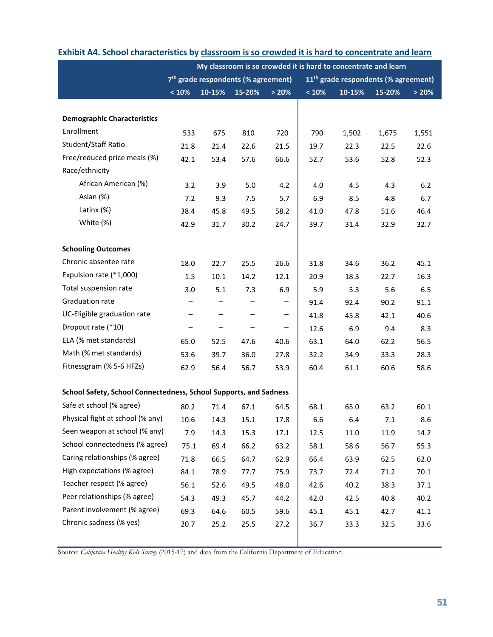|                                                                   |                                                                                                     | My classroom is so crowded it is hard to concentrate and learn |                          |                          |       |        |        |       |  |
|-------------------------------------------------------------------|-----------------------------------------------------------------------------------------------------|----------------------------------------------------------------|--------------------------|--------------------------|-------|--------|--------|-------|--|
|                                                                   | 7 <sup>th</sup> grade respondents (% agreement)<br>11 <sup>th</sup> grade respondents (% agreement) |                                                                |                          |                          |       |        |        |       |  |
|                                                                   | < 10%                                                                                               | 10-15%                                                         | 15-20%                   | > 20%                    | < 10% | 10-15% | 15-20% | > 20% |  |
|                                                                   |                                                                                                     |                                                                |                          |                          |       |        |        |       |  |
| <b>Demographic Characteristics</b>                                |                                                                                                     |                                                                |                          |                          |       |        |        |       |  |
| Enrollment                                                        | 533                                                                                                 | 675                                                            | 810                      | 720                      | 790   | 1,502  | 1,675  | 1,551 |  |
| Student/Staff Ratio                                               | 21.8                                                                                                | 21.4                                                           | 22.6                     | 21.5                     | 19.7  | 22.3   | 22.5   | 22.6  |  |
| Free/reduced price meals (%)                                      | 42.1                                                                                                | 53.4                                                           | 57.6                     | 66.6                     | 52.7  | 53.6   | 52.8   | 52.3  |  |
| Race/ethnicity                                                    |                                                                                                     |                                                                |                          |                          |       |        |        |       |  |
| African American (%)                                              | 3.2                                                                                                 | 3.9                                                            | 5.0                      | 4.2                      | 4.0   | 4.5    | 4.3    | 6.2   |  |
| Asian (%)                                                         | 7.2                                                                                                 | 9.3                                                            | 7.5                      | 5.7                      | 6.9   | 8.5    | 4.8    | 6.7   |  |
| Latinx (%)                                                        | 38.4                                                                                                | 45.8                                                           | 49.5                     | 58.2                     | 41.0  | 47.8   | 51.6   | 46.4  |  |
| White (%)                                                         | 42.9                                                                                                | 31.7                                                           | 30.2                     | 24.7                     | 39.7  | 31.4   | 32.9   | 32.7  |  |
|                                                                   |                                                                                                     |                                                                |                          |                          |       |        |        |       |  |
| <b>Schooling Outcomes</b>                                         |                                                                                                     |                                                                |                          |                          |       |        |        |       |  |
| Chronic absentee rate                                             | 18.0                                                                                                | 22.7                                                           | 25.5                     | 26.6                     | 31.8  | 34.6   | 36.2   | 45.1  |  |
| Expulsion rate (*1,000)                                           | 1.5                                                                                                 | 10.1                                                           | 14.2                     | 12.1                     | 20.9  | 18.3   | 22.7   | 16.3  |  |
| Total suspension rate                                             | 3.0                                                                                                 | 5.1                                                            | 7.3                      | 6.9                      | 5.9   | 5.3    | 5.6    | 6.5   |  |
| Graduation rate                                                   | -                                                                                                   |                                                                |                          | $\qquad \qquad -$        | 91.4  | 92.4   | 90.2   | 91.1  |  |
| UC-Eligible graduation rate                                       | $\overline{\phantom{m}}$                                                                            |                                                                |                          | $\qquad \qquad -$        | 41.8  | 45.8   | 42.1   | 40.6  |  |
| Dropout rate (*10)                                                | $\qquad \qquad -$                                                                                   | -                                                              | $\overline{\phantom{m}}$ | $\overline{\phantom{m}}$ | 12.6  | 6.9    | 9.4    | 8.3   |  |
| ELA (% met standards)                                             | 65.0                                                                                                | 52.5                                                           | 47.6                     | 40.6                     | 63.1  | 64.0   | 62.2   | 56.5  |  |
| Math (% met standards)                                            | 53.6                                                                                                | 39.7                                                           | 36.0                     | 27.8                     | 32.2  | 34.9   | 33.3   | 28.3  |  |
| Fitnessgram (% 5-6 HFZs)                                          | 62.9                                                                                                | 56.4                                                           | 56.7                     | 53.9                     | 60.4  | 61.1   | 60.6   | 58.6  |  |
|                                                                   |                                                                                                     |                                                                |                          |                          |       |        |        |       |  |
| School Safety, School Connectedness, School Supports, and Sadness |                                                                                                     |                                                                |                          |                          |       |        |        |       |  |
| Safe at school (% agree)                                          | 80.2                                                                                                | 71.4                                                           | 67.1                     | 64.5                     | 68.1  | 65.0   | 63.2   | 60.1  |  |
| Physical fight at school (% any)                                  | 10.6                                                                                                | 14.3                                                           | 15.1                     | 17.8                     | 6.6   | 6.4    | 7.1    | 8.6   |  |
| Seen weapon at school (% any)                                     | 7.9                                                                                                 | 14.3                                                           | 15.3                     | 17.1                     | 12.5  | 11.0   | 11.9   | 14.2  |  |
| School connectedness (% agree)                                    | 75.1                                                                                                | 69.4                                                           | 66.2                     | 63.2                     | 58.1  | 58.6   | 56.7   | 55.3  |  |
| Caring relationships (% agree)                                    | 71.8                                                                                                | 66.5                                                           | 64.7                     | 62.9                     | 66.4  | 63.9   | 62.5   | 62.0  |  |
| High expectations (% agree)                                       | 84.1                                                                                                | 78.9                                                           | 77.7                     | 75.9                     | 73.7  | 72.4   | 71.2   | 70.1  |  |
| Teacher respect (% agree)                                         | 56.1                                                                                                | 52.6                                                           | 49.5                     | 48.0                     | 42.6  | 40.2   | 38.3   | 37.1  |  |
| Peer relationships (% agree)                                      | 54.3                                                                                                | 49.3                                                           | 45.7                     | 44.2                     | 42.0  | 42.5   | 40.8   | 40.2  |  |
| Parent involvement (% agree)                                      | 69.3                                                                                                | 64.6                                                           | 60.5                     | 59.6                     | 45.1  | 45.1   | 42.7   | 41.1  |  |
| Chronic sadness (% yes)                                           | 20.7                                                                                                | 25.2                                                           | 25.5                     | 27.2                     | 36.7  | 33.3   | 32.5   | 33.6  |  |
|                                                                   |                                                                                                     |                                                                |                          |                          |       |        |        |       |  |

#### **Exhibit A4. School characteristics by classroom is so crowded it is hard to concentrate and learn**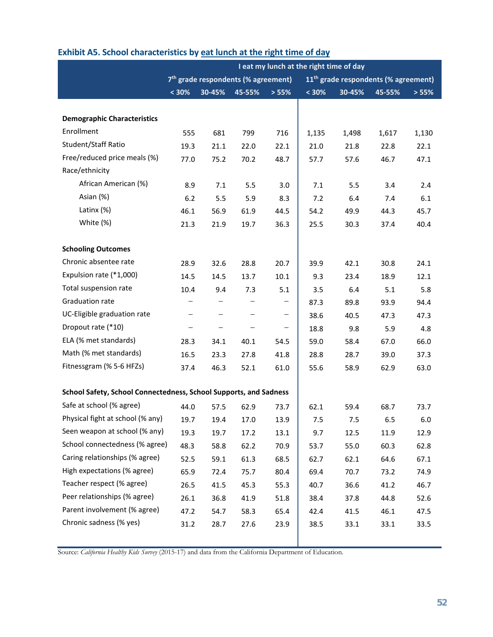|                                                                   |                                                                                                     |                          |        |                          | I eat my lunch at the right time of day |        |        |       |
|-------------------------------------------------------------------|-----------------------------------------------------------------------------------------------------|--------------------------|--------|--------------------------|-----------------------------------------|--------|--------|-------|
|                                                                   | 7 <sup>th</sup> grade respondents (% agreement)<br>11 <sup>th</sup> grade respondents (% agreement) |                          |        |                          |                                         |        |        |       |
|                                                                   | $< 30\%$                                                                                            | 30-45%                   | 45-55% | > 55%                    | $< 30\%$                                | 30-45% | 45-55% | > 55% |
|                                                                   |                                                                                                     |                          |        |                          |                                         |        |        |       |
| <b>Demographic Characteristics</b>                                |                                                                                                     |                          |        |                          |                                         |        |        |       |
| Enrollment                                                        | 555                                                                                                 | 681                      | 799    | 716                      | 1,135                                   | 1,498  | 1,617  | 1,130 |
| Student/Staff Ratio                                               | 19.3                                                                                                | 21.1                     | 22.0   | 22.1                     | 21.0                                    | 21.8   | 22.8   | 22.1  |
| Free/reduced price meals (%)                                      | 77.0                                                                                                | 75.2                     | 70.2   | 48.7                     | 57.7                                    | 57.6   | 46.7   | 47.1  |
| Race/ethnicity                                                    |                                                                                                     |                          |        |                          |                                         |        |        |       |
| African American (%)                                              | 8.9                                                                                                 | 7.1                      | 5.5    | 3.0                      | 7.1                                     | 5.5    | 3.4    | 2.4   |
| Asian (%)                                                         | 6.2                                                                                                 | 5.5                      | 5.9    | 8.3                      | 7.2                                     | 6.4    | 7.4    | 6.1   |
| Latinx (%)                                                        | 46.1                                                                                                | 56.9                     | 61.9   | 44.5                     | 54.2                                    | 49.9   | 44.3   | 45.7  |
| White (%)                                                         | 21.3                                                                                                | 21.9                     | 19.7   | 36.3                     | 25.5                                    | 30.3   | 37.4   | 40.4  |
|                                                                   |                                                                                                     |                          |        |                          |                                         |        |        |       |
| <b>Schooling Outcomes</b>                                         |                                                                                                     |                          |        |                          |                                         |        |        |       |
| Chronic absentee rate                                             | 28.9                                                                                                | 32.6                     | 28.8   | 20.7                     | 39.9                                    | 42.1   | 30.8   | 24.1  |
| Expulsion rate (*1,000)                                           | 14.5                                                                                                | 14.5                     | 13.7   | 10.1                     | 9.3                                     | 23.4   | 18.9   | 12.1  |
| Total suspension rate                                             | 10.4                                                                                                | 9.4                      | 7.3    | 5.1                      | 3.5                                     | 6.4    | 5.1    | 5.8   |
| Graduation rate                                                   |                                                                                                     |                          |        |                          | 87.3                                    | 89.8   | 93.9   | 94.4  |
| UC-Eligible graduation rate                                       | $\qquad \qquad -$                                                                                   | $\qquad \qquad -$        |        | -                        | 38.6                                    | 40.5   | 47.3   | 47.3  |
| Dropout rate (*10)                                                | $\overline{\phantom{m}}$                                                                            | $\overline{\phantom{m}}$ |        | $\overline{\phantom{0}}$ | 18.8                                    | 9.8    | 5.9    | 4.8   |
| ELA (% met standards)                                             | 28.3                                                                                                | 34.1                     | 40.1   | 54.5                     | 59.0                                    | 58.4   | 67.0   | 66.0  |
| Math (% met standards)                                            | 16.5                                                                                                | 23.3                     | 27.8   | 41.8                     | 28.8                                    | 28.7   | 39.0   | 37.3  |
| Fitnessgram (% 5-6 HFZs)                                          | 37.4                                                                                                | 46.3                     | 52.1   | 61.0                     | 55.6                                    | 58.9   | 62.9   | 63.0  |
|                                                                   |                                                                                                     |                          |        |                          |                                         |        |        |       |
| School Safety, School Connectedness, School Supports, and Sadness |                                                                                                     |                          |        |                          |                                         |        |        |       |
| Safe at school (% agree)                                          | 44.0                                                                                                | 57.5                     | 62.9   | 73.7                     | 62.1                                    | 59.4   | 68.7   | 73.7  |
| Physical fight at school (% any)                                  | 19.7                                                                                                | 19.4                     | 17.0   | 13.9                     | 7.5                                     | 7.5    | 6.5    | 6.0   |
| Seen weapon at school (% any)                                     | 19.3                                                                                                | 19.7                     | 17.2   | 13.1                     | 9.7                                     | 12.5   | 11.9   | 12.9  |
| School connectedness (% agree)                                    | 48.3                                                                                                | 58.8                     | 62.2   | 70.9                     | 53.7                                    | 55.0   | 60.3   | 62.8  |
| Caring relationships (% agree)                                    | 52.5                                                                                                | 59.1                     | 61.3   | 68.5                     | 62.7                                    | 62.1   | 64.6   | 67.1  |
| High expectations (% agree)                                       | 65.9                                                                                                | 72.4                     | 75.7   | 80.4                     | 69.4                                    | 70.7   | 73.2   | 74.9  |
| Teacher respect (% agree)                                         | 26.5                                                                                                | 41.5                     | 45.3   | 55.3                     | 40.7                                    | 36.6   | 41.2   | 46.7  |
| Peer relationships (% agree)                                      | 26.1                                                                                                | 36.8                     | 41.9   | 51.8                     | 38.4                                    | 37.8   | 44.8   | 52.6  |
| Parent involvement (% agree)                                      | 47.2                                                                                                | 54.7                     | 58.3   | 65.4                     | 42.4                                    | 41.5   | 46.1   | 47.5  |
| Chronic sadness (% yes)                                           | 31.2                                                                                                | 28.7                     | 27.6   | 23.9                     | 38.5                                    | 33.1   | 33.1   | 33.5  |
|                                                                   |                                                                                                     |                          |        |                          |                                         |        |        |       |

### **Exhibit A5. School characteristics by eat lunch at the right time of day**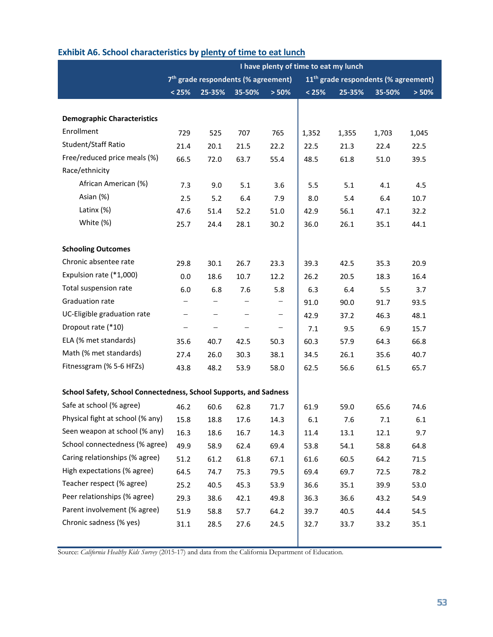|                                                                   | I have plenty of time to eat my lunch                                                               |                   |                   |       |       |        |        |       |
|-------------------------------------------------------------------|-----------------------------------------------------------------------------------------------------|-------------------|-------------------|-------|-------|--------|--------|-------|
|                                                                   | 7 <sup>th</sup> grade respondents (% agreement)<br>11 <sup>th</sup> grade respondents (% agreement) |                   |                   |       |       |        |        |       |
|                                                                   | < 25%                                                                                               | 25-35%            | 35-50%            | > 50% | < 25% | 25-35% | 35-50% | > 50% |
|                                                                   |                                                                                                     |                   |                   |       |       |        |        |       |
| <b>Demographic Characteristics</b>                                |                                                                                                     |                   |                   |       |       |        |        |       |
| Enrollment                                                        | 729                                                                                                 | 525               | 707               | 765   | 1,352 | 1,355  | 1,703  | 1,045 |
| Student/Staff Ratio                                               | 21.4                                                                                                | 20.1              | 21.5              | 22.2  | 22.5  | 21.3   | 22.4   | 22.5  |
| Free/reduced price meals (%)                                      | 66.5                                                                                                | 72.0              | 63.7              | 55.4  | 48.5  | 61.8   | 51.0   | 39.5  |
| Race/ethnicity                                                    |                                                                                                     |                   |                   |       |       |        |        |       |
| African American (%)                                              | 7.3                                                                                                 | 9.0               | 5.1               | 3.6   | 5.5   | 5.1    | 4.1    | 4.5   |
| Asian (%)                                                         | 2.5                                                                                                 | 5.2               | 6.4               | 7.9   | 8.0   | 5.4    | 6.4    | 10.7  |
| Latinx (%)                                                        | 47.6                                                                                                | 51.4              | 52.2              | 51.0  | 42.9  | 56.1   | 47.1   | 32.2  |
| White (%)                                                         | 25.7                                                                                                | 24.4              | 28.1              | 30.2  | 36.0  | 26.1   | 35.1   | 44.1  |
|                                                                   |                                                                                                     |                   |                   |       |       |        |        |       |
| <b>Schooling Outcomes</b>                                         |                                                                                                     |                   |                   |       |       |        |        |       |
| Chronic absentee rate                                             | 29.8                                                                                                | 30.1              | 26.7              | 23.3  | 39.3  | 42.5   | 35.3   | 20.9  |
| Expulsion rate (*1,000)                                           | 0.0                                                                                                 | 18.6              | 10.7              | 12.2  | 26.2  | 20.5   | 18.3   | 16.4  |
| Total suspension rate                                             | 6.0                                                                                                 | 6.8               | 7.6               | 5.8   | 6.3   | 6.4    | 5.5    | 3.7   |
| Graduation rate                                                   | $\overline{\phantom{0}}$                                                                            | -                 | $\qquad \qquad -$ | -     | 91.0  | 90.0   | 91.7   | 93.5  |
| UC-Eligible graduation rate                                       | $\qquad \qquad -$                                                                                   | $\qquad \qquad -$ | $\qquad \qquad -$ | -     | 42.9  | 37.2   | 46.3   | 48.1  |
| Dropout rate (*10)                                                | $\qquad \qquad -$                                                                                   | -                 |                   | -     | 7.1   | 9.5    | 6.9    | 15.7  |
| ELA (% met standards)                                             | 35.6                                                                                                | 40.7              | 42.5              | 50.3  | 60.3  | 57.9   | 64.3   | 66.8  |
| Math (% met standards)                                            | 27.4                                                                                                | 26.0              | 30.3              | 38.1  | 34.5  | 26.1   | 35.6   | 40.7  |
| Fitnessgram (% 5-6 HFZs)                                          | 43.8                                                                                                | 48.2              | 53.9              | 58.0  | 62.5  | 56.6   | 61.5   | 65.7  |
|                                                                   |                                                                                                     |                   |                   |       |       |        |        |       |
| School Safety, School Connectedness, School Supports, and Sadness |                                                                                                     |                   |                   |       |       |        |        |       |
| Safe at school (% agree)                                          | 46.2                                                                                                | 60.6              | 62.8              | 71.7  | 61.9  | 59.0   | 65.6   | 74.6  |
| Physical fight at school (% any)                                  | 15.8                                                                                                | 18.8              | 17.6              | 14.3  | 6.1   | 7.6    | 7.1    | 6.1   |
| Seen weapon at school (% any)                                     | 16.3                                                                                                | 18.6              | 16.7              | 14.3  | 11.4  | 13.1   | 12.1   | 9.7   |
| School connectedness (% agree)                                    | 49.9                                                                                                | 58.9              | 62.4              | 69.4  | 53.8  | 54.1   | 58.8   | 64.8  |
| Caring relationships (% agree)                                    | 51.2                                                                                                | 61.2              | 61.8              | 67.1  | 61.6  | 60.5   | 64.2   | 71.5  |
| High expectations (% agree)                                       | 64.5                                                                                                | 74.7              | 75.3              | 79.5  | 69.4  | 69.7   | 72.5   | 78.2  |
| Teacher respect (% agree)                                         | 25.2                                                                                                | 40.5              | 45.3              | 53.9  | 36.6  | 35.1   | 39.9   | 53.0  |
| Peer relationships (% agree)                                      | 29.3                                                                                                | 38.6              | 42.1              | 49.8  | 36.3  | 36.6   | 43.2   | 54.9  |
| Parent involvement (% agree)                                      | 51.9                                                                                                | 58.8              | 57.7              | 64.2  | 39.7  | 40.5   | 44.4   | 54.5  |
| Chronic sadness (% yes)                                           | 31.1                                                                                                | 28.5              | 27.6              | 24.5  | 32.7  | 33.7   | 33.2   | 35.1  |
|                                                                   |                                                                                                     |                   |                   |       |       |        |        |       |

### **Exhibit A6. School characteristics by plenty of time to eat lunch**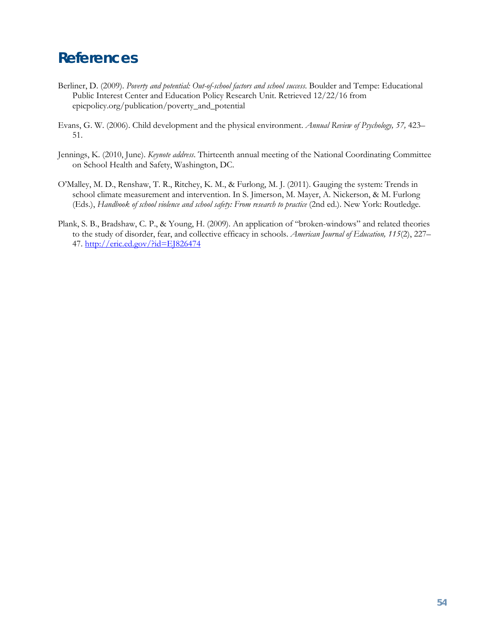## <span id="page-55-0"></span>**References**

- Berliner, D. (2009). *Poverty and potential: Out-of-school factors and school success*. Boulder and Tempe: Educational Public Interest Center and Education Policy Research Unit. Retrieved 12/22/16 from epicpolicy.org/publication/poverty\_and\_potential
- Evans, G. W. (2006). Child development and the physical environment. *Annual Review of Psychology, 57,* 423– 51.
- Jennings, K. (2010, June). *Keynote address*. Thirteenth annual meeting of the National Coordinating Committee on School Health and Safety, Washington, DC.
- O'Malley, M. D., Renshaw, T. R., Ritchey, K. M., & Furlong, M. J. (2011). Gauging the system: Trends in school climate measurement and intervention. In S. Jimerson, M. Mayer, A. Nickerson, & M. Furlong (Eds.), *Handbook of school violence and school safety: From research to practice* (2nd ed.). New York: Routledge.
- Plank, S. B., Bradshaw, C. P., & Young, H. (2009). An application of "broken-windows" and related theories to the study of disorder, fear, and collective efficacy in schools. *American Journal of Education, 115*(2), 227– 47. <http://eric.ed.gov/?id=EJ826474>